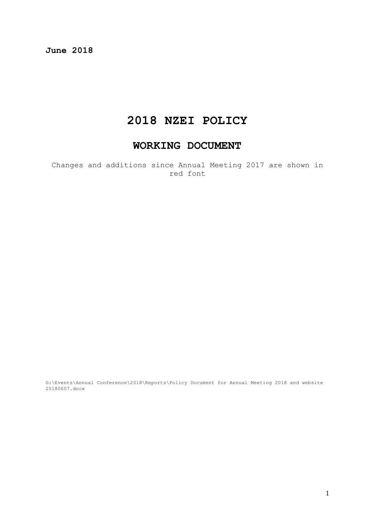**June 2018**

## **2018 NZEI POLICY**

## **WORKING DOCUMENT**

Changes and additions since Annual Meeting 2017 are shown in red font

G:\Events\Annual Conference\2018\Reports\Policy Document for Annual Meeting 2018 and website 20180607.docx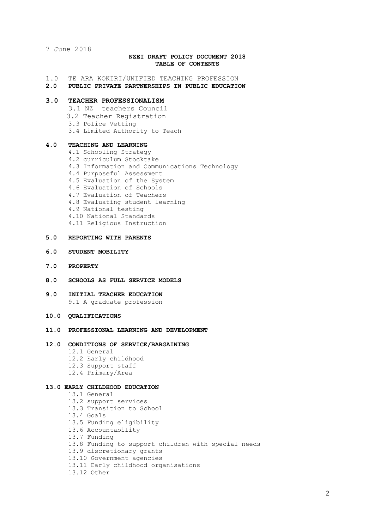7 June 2018

## **NZEI DRAFT POLICY DOCUMENT 2018 TABLE OF CONTENTS**

1.0 TE ARA KOKIRI/UNIFIED TEACHING PROFESSION

#### **2.0 PUBLIC PRIVATE PARTNERSHIPS IN PUBLIC EDUCATION**

## **3.0 TEACHER PROFESSIONALISM**

- 3.1 NZ teachers Council
- 3.2 Teacher Registration
- 3.3 Police Vetting
- 3.4 Limited Authority to Teach

#### **4.0 TEACHING AND LEARNING**

4.1 Schooling Strategy 4.2 curriculum Stocktake 4.3 Information and Communications Technology 4.4 Purposeful Assessment 4.5 Evaluation of the System 4.6 Evaluation of Schools 4.7 Evaluation of Teachers 4.8 Evaluating student learning 4.9 National testing 4.10 National Standards 4.11 Religious Instruction

## **5.0 REPORTING WITH PARENTS**

- **6.0 STUDENT MOBILITY**
- **7.0 PROPERTY**
- **8.0 SCHOOLS AS FULL SERVICE MODELS**
- **9.0 INITIAL TEACHER EDUCATION** 9.1 A graduate profession
- **10.0 QUALIFICATIONS**
- **11.0 PROFESSIONAL LEARNING AND DEVELOPMENT**

## **12.0 CONDITIONS OF SERVICE/BARGAINING**

- 12.1 General
- 12.2 Early childhood
- 12.3 Support staff
- 12.4 Primary/Area

## **13.0 EARLY CHILDHOOD EDUCATION**

13.1 General 13.2 support services 13.3 Transition to School 13.4 Goals 13.5 Funding eligibility 13.6 Accountability 13.7 Funding 13.8 Funding to support children with special needs 13.9 discretionary grants 13.10 Government agencies 13.11 Early childhood organisations 13.12 Other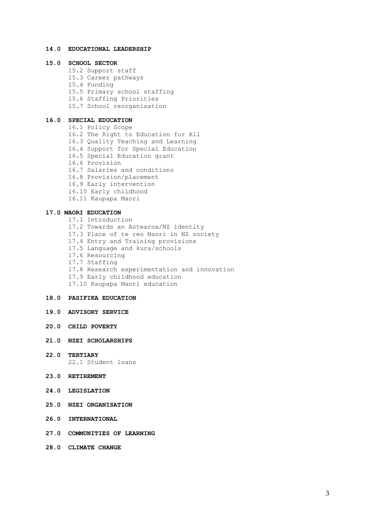## **14.0 EDUCATIONAL LEADERSHIP**

## **15.0 SCHOOL SECTOR**

15.2 Support staff 15.3 Career pathways 15.4 Funding 15.5 Primary school staffing 15.6 Staffing Priorities 15.7 School reorganisation

## **16.0 SPECIAL EDUCATION**

16.1 Policy Scope 16.2 The Right to Education for All 16.3 Quality Teaching and Learning 16.4 Support for Special Education 16.5 Special Education grant 16.6 Provision 16.7 Salaries and conditions 16.8 Provision/placement 16.9 Early intervention 16.10 Early childhood 16.11 Kaupapa Maori

### **17.0 MAORI EDUCATION**

17.1 Introduction 17.2 Towards an Aotearoa/NZ identity 17.3 Place of te reo Maori in NZ society 17.4 Entry and Training provisions 17.5 Language and kura/schools 17.6 Resourcing 17.7 Staffing 17.8 Research experimentation and innovation 17.9 Early childhood education 17.10 Kaupapa Maori education

#### **18.0 PASIFIKA EDUCATION**

- **19.0 ADVISORY SERVICE**
- **20.0 CHILD POVERTY**
- **21.0 NZEI SCHOLARSHIPS**
- **22.0 TERTIARY** 22.1 Student loans
- **23.0 RETIREMENT**
- **24.0 LEGISLATION**
- **25.0 NZEI ORGANISATION**
- **26.0 INTERNATIONAL**
- **27.0 COMMUNITIES OF LEARNING**
- **28.0 CLIMATE CHANGE**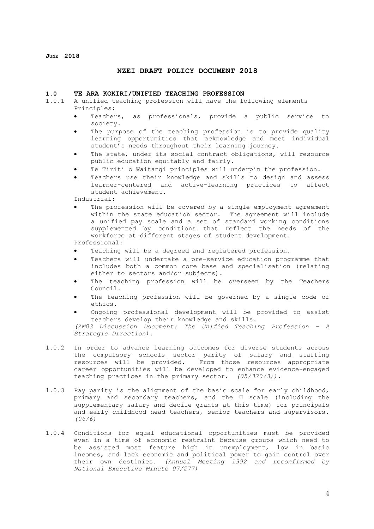**JUNE 2018**

## **NZEI DRAFT POLICY DOCUMENT 2018**

#### **1.0 TE ARA KOKIRI/UNIFIED TEACHING PROFESSION**

- 1.0.1 A unified teaching profession will have the following elements Principles:
	- Teachers, as professionals, provide a public service to society.
	- The purpose of the teaching profession is to provide quality learning opportunities that acknowledge and meet individual student's needs throughout their learning journey.
	- The state, under its social contract obligations, will resource public education equitably and fairly.
	- Te Tiriti o Waitangi principles will underpin the profession.
	- Teachers use their knowledge and skills to design and assess learner-centered and active-learning practices to affect student achievement.

Industrial:

The profession will be covered by a single employment agreement within the state education sector. The agreement will include a unified pay scale and a set of standard working conditions supplemented by conditions that reflect the needs of the workforce at different stages of student development.

Professional:

- Teaching will be a degreed and registered profession.
- Teachers will undertake a pre-service education programme that includes both a common core base and specialisation (relating either to sectors and/or subjects).
- The teaching profession will be overseen by the Teachers Council.
- The teaching profession will be governed by a single code of ethics.
- Ongoing professional development will be provided to assist teachers develop their knowledge and skills.

*(AM03 Discussion Document: The Unified Teaching Profession – A Strategic Direction).*

- 1.0.2 In order to advance learning outcomes for diverse students across the compulsory schools sector parity of salary and staffing resources will be provided. From those resources appropriate career opportunities will be developed to enhance evidence-engaged teaching practices in the primary sector. *(05/320(3)).*
- 1.0.3 Pay parity is the alignment of the basic scale for early childhood, primary and secondary teachers, and the U scale (including the supplementary salary and decile grants at this time) for principals and early childhood head teachers, senior teachers and supervisors. *(06/6)*
- 1.0.4 Conditions for equal educational opportunities must be provided even in a time of economic restraint because groups which need to be assisted most feature high in unemployment, low in basic incomes, and lack economic and political power to gain control over their own destinies. *(Annual Meeting 1992 and reconfirmed by National Executive Minute 07/277)*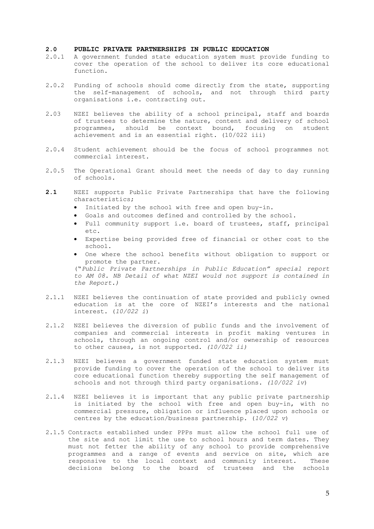## **2.0 PUBLIC PRIVATE PARTNERSHIPS IN PUBLIC EDUCATION**

- 2.0.1 A government funded state education system must provide funding to cover the operation of the school to deliver its core educational function.
- 2.0.2 Funding of schools should come directly from the state, supporting the self-management of schools, and not through third party organisations i.e. contracting out.
- 2.03 NZEI believes the ability of a school principal, staff and boards of trustees to determine the nature, content and delivery of school programmes, should be context bound, focusing on student achievement and is an essential right. (10/022 iii)
- 2.0.4 Student achievement should be the focus of school programmes not commercial interest.
- 2.0.5 The Operational Grant should meet the needs of day to day running of schools.
- **2.1** NZEI supports Public Private Partnerships that have the following characteristics;
	- Initiated by the school with free and open buy-in.
	- Goals and outcomes defined and controlled by the school.
	- Full community support i.e. board of trustees, staff, principal etc.
	- Expertise being provided free of financial or other cost to the school.
	- One where the school benefits without obligation to support or promote the partner. ("*Public Private Partnerships in Public Education" special report*

*to AM 08. NB Detail of what NZEI would not support is contained in the Report.)*

- 2.1.1 NZEI believes the continuation of state provided and publicly owned education is at the core of NZEI's interests and the national interest. (*10/022 i*)
- 2.1.2 NZEI believes the diversion of public funds and the involvement of companies and commercial interests in profit making ventures in schools, through an ongoing control and/or ownership of resources to other causes, is not supported. *(10/022 ii)*
- 2.1.3 NZEI believes a government funded state education system must provide funding to cover the operation of the school to deliver its core educational function thereby supporting the self management of schools and not through third party organisations. *(10/022 iv*)
- 2.1.4 NZEI believes it is important that any public private partnership is initiated by the school with free and open buy-in, with no commercial pressure, obligation or influence placed upon schools or centres by the education/business partnership. (*10/022 v*)
- 2.1.5 Contracts established under PPPs must allow the school full use of the site and not limit the use to school hours and term dates. They must not fetter the ability of any school to provide comprehensive programmes and a range of events and service on site, which are responsive to the local context and community interest. These decisions belong to the board of trustees and the schools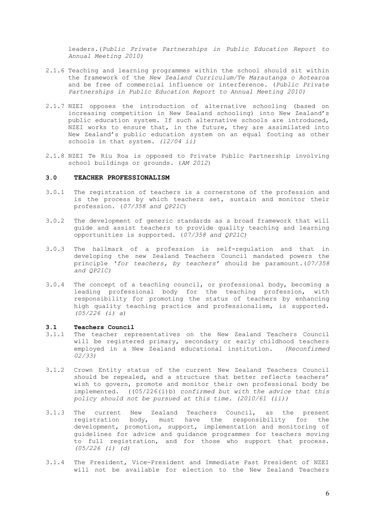leaders.(*Public Private Partnerships in Public Education Report to Annual Meeting 2010)*

- 2.1.6 Teaching and learning programmes within the school should sit within the framework of the *New Zealand Curriculum/Te Marautanga o Aotearoa*  and be free of commercial influence or interference. (*Public Private Partnerships in Public Education Report to Annual Meeting 2010)*
- 2.1.7 NZEI opposes the introduction of alternative schooling (based on increasing competition in New Zealand schooling) into New Zealand's public education system. If such alternative schools are introduced, NZEI works to ensure that, in the future, they are assimilated into New Zealand's public education system on an equal footing as other schools in that system. *(12/04 ii)*
- 2.1.8 NZEI Te Riu Roa is opposed to Private Public Partnership involving school buildings or grounds. (*AM 2012*)

## **3.0 TEACHER PROFESSIONALISM**

- 3.0.1 The registration of teachers is a cornerstone of the profession and is the process by which teachers set, sustain and monitor their profession. (*07/358 and QP21C*)
- 3.0.2 The development of generic standards as a broad framework that will guide and assist teachers to provide quality teaching and learning opportunities is supported. (*07/358 and QP21C)*
- 3.0.3 The hallmark of a profession is self-regulation and that in developing the new Zealand Teachers Council mandated powers the principle '*for teachers, by teachers'* should be paramount.(*07/358 and QP21C)*
- 3.0.4 The concept of a teaching council, or professional body, becoming a leading professional body for the teaching profession, with responsibility for promoting the status of teachers by enhancing high quality teaching practice and professionalism, is supported. *(05/226 (i) a*)

## **3.1 Teachers Council**

- The teacher representatives on the New Zealand Teachers Council will be registered primary, secondary or early childhood teachers employed in a New Zealand educational institution. *(Reconfirmed 02/33)*
- 3.1.2 Crown Entity status of the current New Zealand Teachers Council should be repealed, and a structure that better reflects teachers' wish to govern, promote and monitor their own professional body be implemented. ((05/226(i)b) c*onfirmed but with the advice that this policy should not be pursued at this time. (2010/61 (ii))*
- 3.1.3 The current New Zealand Teachers Council, as the present registration body, must have the responsibility for the development, promotion, support, implementation and monitoring of guidelines for advice and guidance programmes for teachers moving to full registration, and for those who support that process. *(05/226 (i) (d)*
- 3.1.4 The President, Vice-President and Immediate Past President of NZEI will not be available for election to the New Zealand Teachers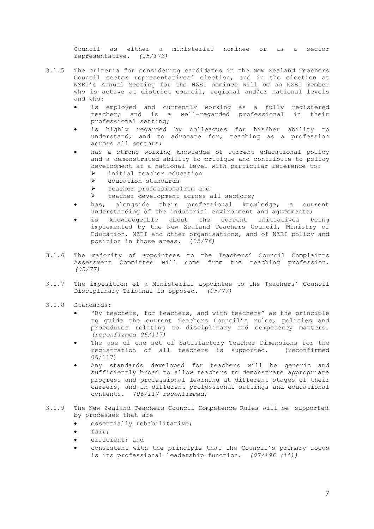Council as either a ministerial nominee or as a sector representative. *(05/173)*

- 3.1.5 The criteria for considering candidates in the New Zealand Teachers Council sector representatives' election, and in the election at NZEI's Annual Meeting for the NZEI nominee will be an NZEI member who is active at district council, regional and/or national levels and who:
	- is employed and currently working as a fully registered teacher; and is a well-regarded professional in their professional setting;
	- is highly regarded by colleagues for his/her ability to understand, and to advocate for, teaching as a profession across all sectors;
	- has a strong working knowledge of current educational policy and a demonstrated ability to critique and contribute to policy development at a national level with particular reference to: Ø initial teacher education
		- $\triangleright$  education standards
		- Ø teacher professionalism and
		- Ø teacher development across all sectors;
	- has, alongside their professional knowledge, a current understanding of the industrial environment and agreements;
	- is knowledgeable about the current initiatives being implemented by the New Zealand Teachers Council, Ministry of Education, NZEI and other organisations, and of NZEI policy and position in those areas. (*05/76)*
- 3.1.6 The majority of appointees to the Teachers' Council Complaints Assessment Committee will come from the teaching profession. *(05/77)*
- 3.1.7 The imposition of a Ministerial appointee to the Teachers' Council Disciplinary Tribunal is opposed. *(05/77)*
- 3.1.8 Standards:
	- "By teachers, for teachers, and with teachers" as the principle to guide the current Teachers Council's rules, policies and procedures relating to disciplinary and competency matters. *(reconfirmed 06/117)*
	- The use of one set of Satisfactory Teacher Dimensions for the registration of all teachers is supported. (reconfirmed 06/117)
	- Any standards developed for teachers will be generic and sufficiently broad to allow teachers to demonstrate appropriate progress and professional learning at different stages of their careers, and in different professional settings and educational contents. *(06/117 reconfirmed)*
- 3.1.9 The New Zealand Teachers Council Competence Rules will be supported by processes that are
	- essentially rehabilitative;
	- fair;
	- efficient; and
	- consistent with the principle that the Council's primary focus is its professional leadership function. *(07/196 (ii))*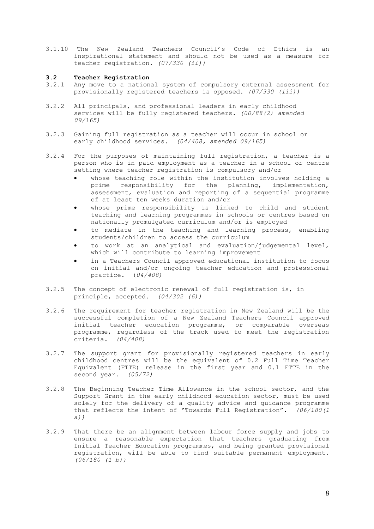3.1.10 The New Zealand Teachers Council's Code of Ethics is an inspirational statement and should not be used as a measure for teacher registration. *(07/330 (ii))*

#### **3.2 Teacher Registration**

- 3.2.1 Any move to a national system of compulsory external assessment for provisionally registered teachers is opposed. *(07/330 (iii))*
- 3.2.2 All principals, and professional leaders in early childhood services will be fully registered teachers. *(00/88(2) amended 09/165)*
- 3.2.3 Gaining full registration as a teacher will occur in school or early childhood services. *(04/408, amended 09/165)*
- 3.2.4 For the purposes of maintaining full registration, a teacher is a person who is in paid employment as a teacher in a school or centre setting where teacher registration is compulsory and/or
	- whose teaching role within the institution involves holding a prime responsibility for the planning, implementation, assessment, evaluation and reporting of a sequential programme of at least ten weeks duration and/or
	- whose prime responsibility is linked to child and student teaching and learning programmes in schools or centres based on nationally promulgated curriculum and/or is employed
	- to mediate in the teaching and learning process, enabling students/children to access the curriculum
	- to work at an analytical and evaluation/judgemental level, which will contribute to learning improvement
	- in a Teachers Council approved educational institution to focus on initial and/or ongoing teacher education and professional practice. (*04/408)*
- 3.2.5 The concept of electronic renewal of full registration is, in principle, accepted*. (04/302 (6))*
- 3.2.6 The requirement for teacher registration in New Zealand will be the successful completion of a New Zealand Teachers Council approved initial teacher education programme, or comparable overseas programme, regardless of the track used to meet the registration criteria. *(04/408)*
- 3.2.7 The support grant for provisionally registered teachers in early childhood centres will be the equivalent of 0.2 Full Time Teacher Equivalent (FTTE) release in the first year and 0.1 FTTE in the second year. *(05/72)*
- 3.2.8 The Beginning Teacher Time Allowance in the school sector, and the Support Grant in the early childhood education sector, must be used solely for the delivery of a quality advice and guidance programme that reflects the intent of "Towards Full Registration". *(06/180(1 a))*
- 3.2.9 That there be an alignment between labour force supply and jobs to ensure a reasonable expectation that teachers graduating from Initial Teacher Education programmes, and being granted provisional registration, will be able to find suitable permanent employment. *(06/180 (1 b))*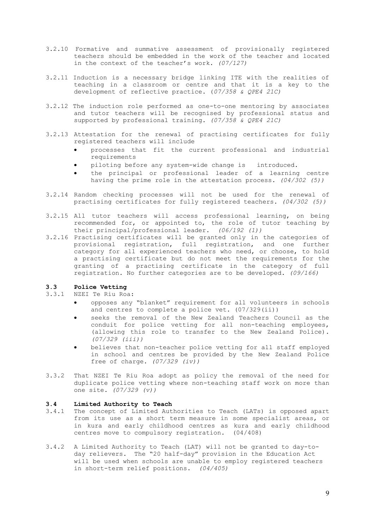- 3.2.10 Formative and summative assessment of provisionally registered teachers should be embedded in the work of the teacher and located in the context of the teacher's work. *(07/127)*
- 3.2.11 Induction is a necessary bridge linking ITE with the realities of teaching in a classroom or centre and that it is a key to the development of reflective practice. (*07/358 & QPE4 21C)*
- 3.2.12 The induction role performed as one-to-one mentoring by associates and tutor teachers will be recognised by professional status and supported by professional training. *(07/358 & QPE4 21C)*
- 3.2.13 Attestation for the renewal of practising certificates for fully registered teachers will include
	- processes that fit the current professional and industrial requirements
	- piloting before any system-wide change is introduced.
	- the principal or professional leader of a learning centre having the prime role in the attestation process. *(04/302 (5))*
- 3.2.14 Random checking processes will not be used for the renewal of practising certificates for fully registered teachers. *(04/302 (5))*
- 3.2.15 All tutor teachers will access professional learning, on being recommended for, or appointed to, the role of tutor teaching by their principal/professional leader. *(06/192 (1))*
- 3.2.16 Practising certificates will be granted only in the categories of provisional registration, full registration, and one further category for all experienced teachers who need, or choose, to hold a practising certificate but do not meet the requirements for the granting of a practising certificate in the category of full registration. No further categories are to be developed. *(09/166)*

## **3.3 Police Vetting**

## 3.3.1 NZEI Te Riu Roa:

- opposes any "blanket" requirement for all volunteers in schools and centres to complete a police vet.  $(07/329(ii))$
- seeks the removal of the New Zealand Teachers Council as the conduit for police vetting for all non-teaching employees, (allowing this role to transfer to the New Zealand Police). *(07/329 (iii))*
- believes that non-teacher police vetting for all staff employed in school and centres be provided by the New Zealand Police free of charge. *(07/329 (iv))*
- 3.3.2 That NZEI Te Riu Roa adopt as policy the removal of the need for duplicate police vetting where non-teaching staff work on more than one site. *(07/329 (v))*

## **3.4 Limited Authority to Teach**

- 3.4.1 The concept of Limited Authorities to Teach (LATs) is opposed apart from its use as a short term measure in some specialist areas, or in kura and early childhood centres as kura and early childhood centres move to compulsory registration. (04/408)
- 3.4.2 A Limited Authority to Teach (LAT) will not be granted to day-today relievers. The "20 half-day" provision in the Education Act will be used when schools are unable to employ registered teachers in short-term relief positions. *(04/405)*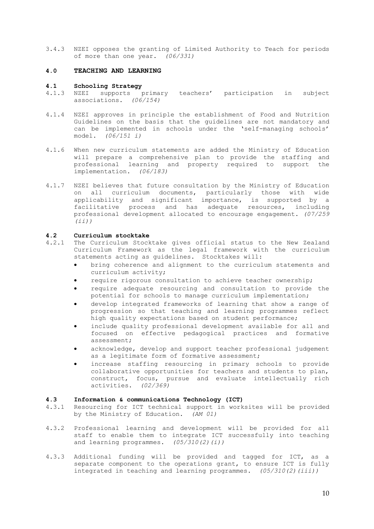3.4.3 NZEI opposes the granting of Limited Authority to Teach for periods of more than one year. *(06/331)*

## **4.0 TEACHING AND LEARNING**

## **4.1 Schooling Strategy**

- 4.1.3 NZEI supports primary teachers' participation in subject associations. *(06/154)*
- 4.1.4 NZEI approves in principle the establishment of Food and Nutrition Guidelines on the basis that the guidelines are not mandatory and can be implemented in schools under the 'self-managing schools' model. *(06/151 i)*
- 4.1.6 When new curriculum statements are added the Ministry of Education will prepare a comprehensive plan to provide the staffing and professional learning and property required to support the implementation. *(06/183)*
- 4.1.7 NZEI believes that future consultation by the Ministry of Education on all curriculum documents, particularly those with wide applicability and significant importance, is supported by a facilitative process and has adequate resources, including professional development allocated to encourage engagement. *(07/259 (ii))*

# **4.2 Curriculum stocktake**

- The Curriculum Stocktake gives official status to the New Zealand Curriculum Framework as the legal framework with the curriculum statements acting as guidelines. Stocktakes will:
	- bring coherence and alignment to the curriculum statements and curriculum activity;
	- require rigorous consultation to achieve teacher ownership;
	- require adequate resourcing and consultation to provide the potential for schools to manage curriculum implementation;
	- develop integrated frameworks of learning that show a range of progression so that teaching and learning programmes reflect high quality expectations based on student performance;
	- include quality professional development available for all and focused on effective pedagogical practices and formative assessment;
	- acknowledge, develop and support teacher professional judgement as a legitimate form of formative assessment;
	- increase staffing resourcing in primary schools to provide collaborative opportunities for teachers and students to plan, construct, focus, pursue and evaluate intellectually rich activities. *(02/369)*

## **4.3 Information & communications Technology (ICT)**

- 4.3.1 Resourcing for ICT technical support in worksites will be provided by the Ministry of Education. *(AM 01)*
- 4.3.2 Professional learning and development will be provided for all staff to enable them to integrate ICT successfully into teaching and learning programmes.  $(05/310(2)(i))$
- 4.3.3 Additional funding will be provided and tagged for ICT, as a separate component to the operations grant, to ensure ICT is fully integrated in teaching and learning programmes. *(05/310(2)(iii))*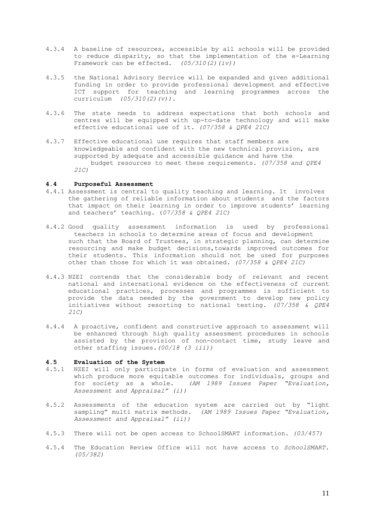- 4.3.4 A baseline of resources, accessible by all schools will be provided to reduce disparity, so that the implementation of the e-Learning Framework can be effected.  $(05/310(2)(iv))$
- 4.3.5 the National Advisory Service will be expanded and given additional funding in order to provide professional development and effective ICT support for teaching and learning programmes across the curriculum *(05/310(2)(v)).*
- 4.3.6 The state needs to address expectations that both schools and centres will be equipped with up-to-date technology and will make effective educational use of it. *(07/358 & QPE4 21C)*
- 4.3.7 Effective educational use requires that staff members are knowledgeable and confident with the new technical provision, are supported by adequate and accessible guidance and have the budget resources to meet these requirements. *(07/358 and QPE4 21C)*

#### **4.4 Purposeful Assessment**

- 4.4.1 Assessment is central to quality teaching and learning. It involves the gathering of reliable information about students and the factors that impact on their learning in order to improve students' learning and teachers' teaching. (*07/358 & QPE4 21C)*
- 4.4.2 Good quality assessment information is used by professional teachers in schools to determine areas of focus and development such that the Board of Trustees, in strategic planning, can determine resourcing and make budget decisions,towards improved outcomes for their students. This information should not be used for purposes other than those for which it was obtained. *(07/358 & QPE4 21C)*
- 4.4.3 NZEI contends that the considerable body of relevant and recent national and international evidence on the effectiveness of current educational practices, processes and programmes is sufficient to provide the data needed by the government to develop new policy initiatives without resorting to national testing. *(07/358 & QPE4 21C)*
- 4.4.4 A proactive, confident and constructive approach to assessment will be enhanced through high quality assessment procedures in schools assisted by the provision of non-contact time, study leave and other staffing issues*.(00/18 (3 iii))*

## **4.5 Evaluation of the System**

- 4.5.1 NZEI will only participate in forms of evaluation and assessment which produce more equitable outcomes for individuals, groups and for society as a whole. *(AM 1989 Issues Paper "Evaluation, Assessment and Appraisal" (i))*
- 4.5.2 Assessments of the education system are carried out by "light sampling" multi matrix methods. *(AM 1989 Issues Paper "Evaluation, Assessment and Appraisal" (ii))*
- 4.5.3 There will not be open access to SchoolSMART information. *(03/457)*
- 4.5.4 The Education Review Office will not have access to *SchoolSMART. (05/382)*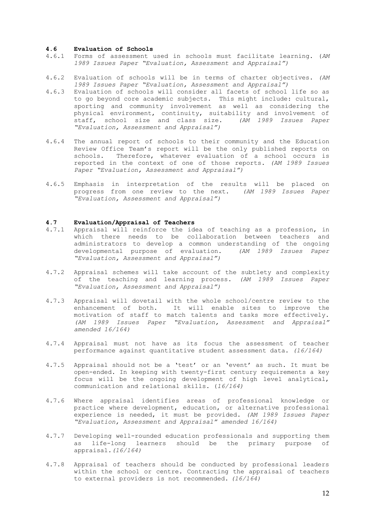#### **4.6 Evaluation of Schools**

- 4.6.1 Forms of assessment used in schools must facilitate learning. (*AM 1989 Issues Paper "Evaluation, Assessment and Appraisal")*
- 4.6.2 Evaluation of schools will be in terms of charter objectives. *(AM 1989 Issues Paper "Evaluation, Assessment and Appraisal")*
- 4.6.3 Evaluation of schools will consider all facets of school life so as to go beyond core academic subjects. This might include: cultural, sporting and community involvement as well as considering the physical environment, continuity, suitability and involvement of staff, school size and class size. *(AM 1989 Issues Paper "Evaluation, Assessment and Appraisal")*
- 4.6.4 The annual report of schools to their community and the Education Review Office Team's report will be the only published reports on schools. Therefore, whatever evaluation of a school occurs is reported in the context of one of those reports. *(AM 1989 Issues Paper "Evaluation, Assessment and Appraisal")*
- 4.6.5 Emphasis in interpretation of the results will be placed on progress from one review to the next. *(AM 1989 Issues Paper "Evaluation, Assessment and Appraisal")*

## **4.7 Evaluation/Appraisal of Teachers**

- Appraisal will reinforce the idea of teaching as a profession, in which there needs to be collaboration between teachers and administrators to develop a common understanding of the ongoing<br>developmental purpose of evaluation. (AM 1989 Issues Paper developmental purpose of evaluation. *"Evaluation, Assessment and Appraisal")*
- 4.7.2 Appraisal schemes will take account of the subtlety and complexity of the teaching and learning process. *(AM 1989 Issues Paper "Evaluation, Assessment and Appraisal")*
- 4.7.3 Appraisal will dovetail with the whole school/centre review to the enhancement of both. It will enable sites to improve the motivation of staff to match talents and tasks more effectively. *(AM 1989 Issues Paper "Evaluation, Assessment and Appraisal" amended 16/164)*
- 4.7.4 Appraisal must not have as its focus the assessment of teacher performance against quantitative student assessment data. *(16/164)*
- 4.7.5 Appraisal should not be a 'test' or an 'event' as such. It must be open-ended. In keeping with twenty-first century requirements a key focus will be the ongoing development of high level analytical, communication and relational skills. (*16/164)*
- 4.7.6 Where appraisal identifies areas of professional knowledge or practice where development, education, or alternative professional experience is needed, it must be provided. *(AM 1989 Issues Paper "Evaluation, Assessment and Appraisal" amended 16/164)*
- 4.7.7 Developing well-rounded education professionals and supporting them as life-long learners should be the primary purpose of appraisal*.(16/164)*
- 4.7.8 Appraisal of teachers should be conducted by professional leaders within the school or centre. Contracting the appraisal of teachers to external providers is not recommended. *(16/164)*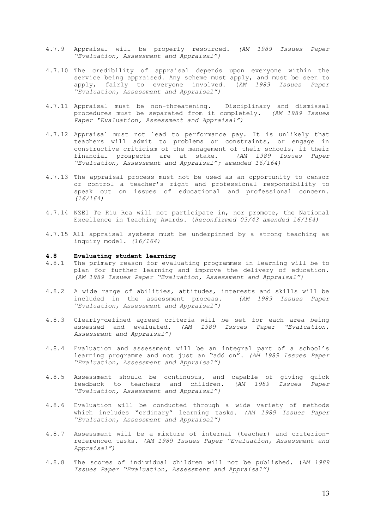- 4.7.9 Appraisal will be properly resourced. *(AM 1989 Issues Paper "Evaluation, Assessment and Appraisal")*
- 4.7.10 The credibility of appraisal depends upon everyone within the service being appraised. Any scheme must apply, and must be seen to apply, fairly to everyone involved. (*AM 1989 Issues Paper "Evaluation, Assessment and Appraisal")*
- 4.7.11 Appraisal must be non-threatening. Disciplinary and dismissal procedures must be separated from it completely. *(AM 1989 Issues Paper "Evaluation, Assessment and Appraisal")*
- 4.7.12 Appraisal must not lead to performance pay. It is unlikely that teachers will admit to problems or constraints, or engage in constructive criticism of the management of their schools, if their financial prospects are at stake. *(AM 1989 Issues Paper "Evaluation, Assessment and Appraisal"; amended 16/164)*
- 4.7.13 The appraisal process must not be used as an opportunity to censor or control a teacher's right and professional responsibility to speak out on issues of educational and professional concern. *(16/164)*
- 4.7.14 NZEI Te Riu Roa will not participate in, nor promote, the National Excellence in Teaching Awards. (*Reconfirmed 03/43 amended 16/164)*
- 4.7.15 All appraisal systems must be underpinned by a strong teaching as inquiry model. *(16/164)*

#### **4.8 Evaluating student learning**

- 4.8.1 The primary reason for evaluating programmes in learning will be to plan for further learning and improve the delivery of education. *(AM 1989 Issues Paper "Evaluation, Assessment and Appraisal")*
- 4.8.2 A wide range of abilities, attitudes, interests and skills will be included in the assessment process. *(AM 1989 Issues Paper "Evaluation, Assessment and Appraisal")*
- 4.8.3 Clearly-defined agreed criteria will be set for each area being assessed and evaluated. *(AM 1989 Issues Paper "Evaluation, Assessment and Appraisal")*
- 4.8.4 Evaluation and assessment will be an integral part of a school's learning programme and not just an "add on". *(AM 1989 Issues Paper "Evaluation, Assessment and Appraisal")*
- 4.8.5 Assessment should be continuous, and capable of giving quick feedback to teachers and children. *(AM 1989 Issues Paper "Evaluation, Assessment and Appraisal")*
- 4.8.6 Evaluation will be conducted through a wide variety of methods which includes "ordinary" learning tasks. *(AM 1989 Issues Paper "Evaluation, Assessment and Appraisal")*
- 4.8.7 Assessment will be a mixture of internal (teacher) and criterionreferenced tasks. *(AM 1989 Issues Paper "Evaluation, Assessment and Appraisal")*
- 4.8.8 The scores of individual children will not be published. (*AM 1989 Issues Paper "Evaluation, Assessment and Appraisal")*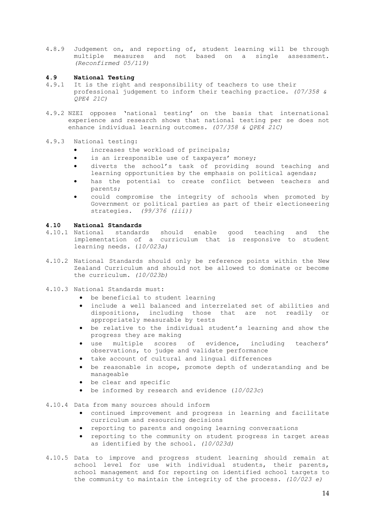4.8.9 Judgement on, and reporting of, student learning will be through multiple measures and not based on a single assessment. *(Reconfirmed 05/119)*

## **4.9 National Testing**

- 4.9.1 It is the right and responsibility of teachers to use their professional judgement to inform their teaching practice. *(07/358 & QPE4 21C)*
- 4.9.2 NZEI opposes 'national testing' on the basis that international experience and research shows that national testing per se does not enhance individual learning outcomes. *(07/358 & QPE4 21C)*
- 4.9.3 National testing:
	- increases the workload of principals;
	- is an irresponsible use of taxpayers' money;
	- diverts the school's task of providing sound teaching and learning opportunities by the emphasis on political agendas;
	- has the potential to create conflict between teachers and parents;
	- could compromise the integrity of schools when promoted by Government or political parties as part of their electioneering strategies. *(99/376 (iii))*

## **4.10 National Standards**

- 4.10.1 National standards should enable good teaching and the implementation of a curriculum that is responsive to student learning needs. (*10/023a)*
- 4.10.2 National Standards should only be reference points within the New Zealand Curriculum and should not be allowed to dominate or become the curriculum. *(10/023b)*
- 4.10.3 National Standards must:
	- be beneficial to student learning
	- include a well balanced and interrelated set of abilities and dispositions, including those that are not readily or appropriately measurable by tests
	- be relative to the individual student's learning and show the progress they are making
	- use multiple scores of evidence, including teachers' observations, to judge and validate performance
	- take account of cultural and lingual differences
	- be reasonable in scope, promote depth of understanding and be manageable
	- be clear and specific
	- be informed by research and evidence (*10/023c*)
- 4.10.4 Data from many sources should inform
	- continued improvement and progress in learning and facilitate curriculum and resourcing decisions
	- reporting to parents and ongoing learning conversations
	- reporting to the community on student progress in target areas as identified by the school. *(10/023d)*
- 4.10.5 Data to improve and progress student learning should remain at school level for use with individual students, their parents, school management and for reporting on identified school targets to the community to maintain the integrity of the process. *(10/023 e)*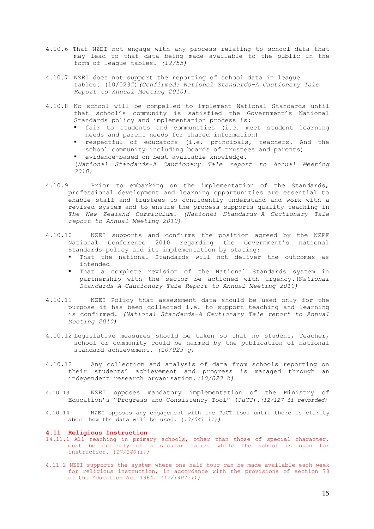- 4.10.6 That NZEI not engage with any process relating to school data that may lead to that data being made available to the public in the form of league tables. *(12/55)*
- 4.10.7 NZEI does not support the reporting of school data in league tables. (10/023f)*(Confirmed: National Standards-A Cautionary Tale Report to Annual Meeting 2010).*
- 4.10.8 No school will be compelled to implement National Standards until that school's community is satisfied the Government's National Standards policy and implementation process is:
	- fair to students and communities (i.e. meet student learning needs and parent needs for shared information)
	- § respectful of educators (i.e. principals, teachers. And the school community including boards of trustees and parents)
	- evidence-based on best available knowledge.

(*National Standards–A Cautionary Tale report to Annual Meeting 2010)*

- 4.10.9 Prior to embarking on the implementation of the Standards, professional development and learning opportunities are essential to enable staff and trustees to confidently understand and work with a revised system and to ensure the process supports quality teaching in *The New Zealand Curriculum. (National Standards–A Cautionary Tale report to Annual Meeting 2010)*
- 4.10.10 NZEI supports and confirms the position agreed by the NZPF National Conference 2010 regarding the Government's national Standards policy and its implementation by stating:
	- That the national Standards will not deliver the outcomes as intended
	- That a complete revision of the National Standards system in partnership with the sector be actioned with urgency.(N*ational Standards-A Cautionary Tale Report to Annual Meeting 2010)*
- 4.10.11 NZEI Policy that assessment data should be used only for the purpose it has been collected i.e. to support teaching and learning is confirmed. *(National Standards–A Cautionary Tale report to Annual Meeting 2010)*
- 4.10.12 Legislative measures should be taken so that no student, Teacher, school or community could be harmed by the publication of national standard achievement. *(10/023 g)*
- 4.10.12 Any collection and analysis of data from schools reporting on their students' achievement and progress is managed through an independent research organisation.*(10/023 h)*
- 4.10.13 NZEI opposes mandatory implementation of the Ministry of Education's "Progress and Consistency Tool" (PaCT).*(12/127 ii reworded)*
- 4.10.14 NZEI opposes any engagement with the PaCT tool until there is clarity about how the data will be used. (*13/041 11))*

#### **4.11 Religious Instruction**

- 14.11.1 All teaching in primary schools, other than those of special character, must be entirely of a secular nature while the school is open for instruction. (*17/140(i))*
- 4.11.2 NZEI supports the system where one half hour can be made available each week for religious instruction, in accordance with the provisions of section 78 of the Education Act 1964. *(17/140(ii))*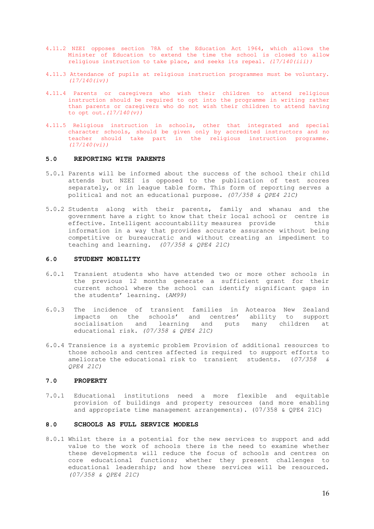- 4.11.2 NZEI opposes section 78A of the Education Act 1964, which allows the Minister of Education to extend the time the school is closed to allow religious instruction to take place, and seeks its repeal. *(17/140(iii))*
- 4.11.3 Attendance of pupils at religious instruction programmes must be voluntary. *(17/140(iv))*
- 4.11.4 Parents or caregivers who wish their children to attend religious instruction should be required to opt into the programme in writing rather than parents or caregivers who do not wish their children to attend having to opt out.*(17/140(v))*
- 4.11.5 Religious instruction in schools, other that integrated and special character schools, should be given only by accredited instructors and no teacher should take part in the religious instruction programme. *(17/140(vi))*

## **5.0 REPORTING WITH PARENTS**

- 5.0.1 Parents will be informed about the success of the school their child attends but NZEI is opposed to the publication of test scores separately, or in league table form. This form of reporting serves a political and not an educational purpose. *(07/358 & QPE4 21C)*
- 5.0.2 Students along with their parents, family and whanau and the government have a right to know that their local school or centre is effective. Intelligent accountability measures provide this information in a way that provides accurate assurance without being competitive or bureaucratic and without creating an impediment to teaching and learning. *(07/358 & QPE4 21C)*

#### **6.0 STUDENT MOBILITY**

- 6.0.1 Transient students who have attended two or more other schools in the previous 12 months generate a sufficient grant for their current school where the school can identify significant gaps in the students' learning. (*AM99)*
- 6.0.3 The incidence of transient families in Aotearoa New Zealand impacts on the schools' and centres' ability to support socialisation and learning and puts many children at educational risk. *(07/358 & QPE4 21C)*
- 6.0.4 Transience is a systemic problem Provision of additional resources to those schools and centres affected is required to support efforts to ameliorate the educational risk to transient students.  $(07/358 \text{ g})$ ameliorate the educational risk to transient students. (07/358 *QPE4 21C)*

#### **7.0 PROPERTY**

7.0.1 Educational institutions need a more flexible and equitable provision of buildings and property resources (and more enabling and appropriate time management arrangements). (07/358 & QPE4 21C)

## **8.0 SCHOOLS AS FULL SERVICE MODELS**

8.0.1 Whilst there is a potential for the new services to support and add value to the work of schools there is the need to examine whether these developments will reduce the focus of schools and centres on core educational functions; whether they present challenges to educational leadership; and how these services will be resourced. *(07/358 & QPE4 21C)*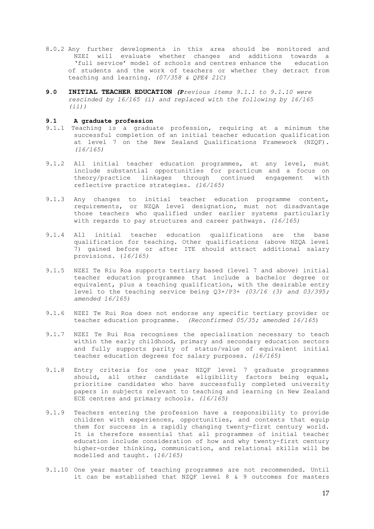- 8.0.2 Any further developments in this area should be monitored and NZEI will evaluate whether changes and additions towards a 'full service' model of schools and centres enhance the education of students and the work of teachers or whether they detract from teaching and learning. *(07/358 & QPE4 21C)*
- **9.0 INITIAL TEACHER EDUCATION** *(Previous items 9.1.1 to 9.1.10 were rescinded by 16/165 (i) and replaced with the following by 16/165 (ii))*

## **9.1 A graduate profession**

- 9.1.1 Teaching is a graduate profession, requiring at a minimum the successful completion of an initial teacher education qualification at level 7 on the New Zealand Qualifications Framework (NZQF). *(16/165)*
- 9.1.2 All initial teacher education programmes, at any level, must include substantial opportunities for practicum and a focus on theory/practice linkages through continued engagement with reflective practice strategies. *(16/165)*
- 9.1.3 Any changes to initial teacher education programme content, requirements, or NZQA level designation, must not disadvantage those teachers who qualified under earlier systems particularly with regards to pay structures and career pathways. *(16/165)*
- 9.1.4 All initial teacher education qualifications are the base qualification for teaching. Other qualifications (above NZQA level 7) gained before or after ITE should attract additional salary provisions. (*16/165)*
- 9.1.5 NZEI Te Riu Roa supports tertiary based (level 7 and above) initial teacher education programmes that include a bachelor degree or equivalent, plus a teaching qualification, with the desirable entry level to the teaching service being Q3+/P3+ *(03/16 (3) and 03/395; amended 16/165)*
- 9.1.6 NZEI Te Rui Roa does not endorse any specific tertiary provider or teacher education programme. *(Reconfirmed 05/35; amended 16/165*)
- 9.1.7 NZEI Te Rui Roa recognises the specialisation necessary to teach within the early childhood, primary and secondary education sectors and fully supports parity of status/value of equivalent initial teacher education degrees for salary purposes. *(16/165)*
- 9.1.8 Entry criteria for one year NZQF level 7 graduate programmes should, all other candidate eligibility factors being equal, prioritise candidates who have successfully completed university papers in subjects relevant to teaching and learning in New Zealand ECE centres and primary schools. *(16/165)*
- 9.1.9 Teachers entering the profession have a responsibility to provide children with experiences, opportunities, and contexts that equip them for success in a rapidly changing twenty-first century world. It is therefore essential that all programmes of initial teacher education include consideration of how and why twenty-first century higher-order thinking, communication, and relational skills will be modelled and taught. (*16/165)*
- 9.1.10 One year master of teaching programmes are not recommended. Until it can be established that NZQF level 8 & 9 outcomes for masters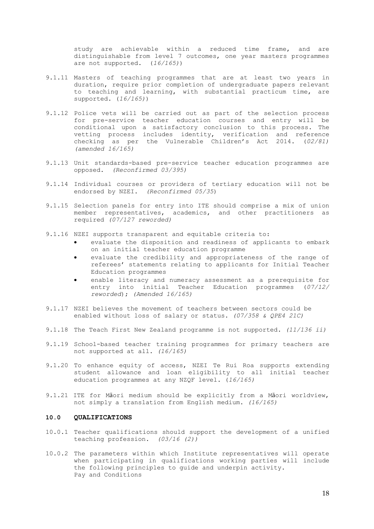study are achievable within a reduced time frame, and are distinguishable from level 7 outcomes, one year masters programmes are not supported. (*16/165)*)

- 9.1.11 Masters of teaching programmes that are at least two years in duration, require prior completion of undergraduate papers relevant to teaching and learning, with substantial practicum time, are supported. (*16/165)*)
- 9.1.12 Police vets will be carried out as part of the selection process for pre-service teacher education courses and entry will be conditional upon a satisfactory conclusion to this process. The vetting process includes identity, verification and reference checking as per the Vulnerable Children's Act 2014. (*02/81) (amended 16/165)*
- 9.1.13 Unit standards-based pre-service teacher education programmes are opposed. *(Reconfirmed 03/395)*
- 9.1.14 Individual courses or providers of tertiary education will not be endorsed by NZEI. *(Reconfirmed 05/35*)
- 9.1.15 Selection panels for entry into ITE should comprise a mix of union member representatives, academics, and other practitioners as required *(07/127 reworded)*
- 9.1.16 NZEI supports transparent and equitable criteria to:
	- evaluate the disposition and readiness of applicants to embark on an initial teacher education programme
	- evaluate the credibility and appropriateness of the range of referees' statements relating to applicants for Initial Teacher Education programmes
	- enable literacy and numeracy assessment as a prerequisite for entry into initial Teacher Education programmes (*07/12/ reworded*); *(Amended 16/165)*
- 9.1.17 NZEI believes the movement of teachers between sectors could be enabled without loss of salary or status. *(07/358 & QPE4 21C)*
- 9.1.18 The Teach First New Zealand programme is not supported. *(11/136 ii)*
- 9.1.19 School-based teacher training programmes for primary teachers are not supported at all. *(16/165)*
- 9.1.20 To enhance equity of access, NZEI Te Rui Roa supports extending student allowance and loan eligibility to all initial teacher education programmes at any NZQF level. (*16/165)*
- 9.1.21 ITE for Māori medium should be explicitly from a Māori worldview, not simply a translation from English medium. *(16/165)*

## **10.0 QUALIFICATIONS**

- 10.0.1 Teacher qualifications should support the development of a unified teaching profession. *(03/16 (2))*
- 10.0.2 The parameters within which Institute representatives will operate when participating in qualifications working parties will include the following principles to guide and underpin activity. Pay and Conditions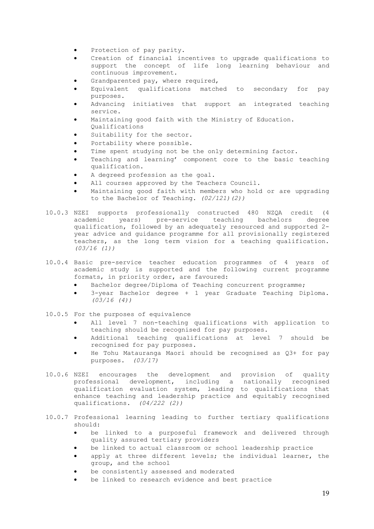- Protection of pay parity.
- Creation of financial incentives to upgrade qualifications to support the concept of life long learning behaviour and continuous improvement.
- Grandparented pay, where required,
- Equivalent qualifications matched to secondary for pay purposes.
- Advancing initiatives that support an integrated teaching service.
- Maintaining good faith with the Ministry of Education. Qualifications
- Suitability for the sector.
- Portability where possible.
- Time spent studying not be the only determining factor.
- Teaching and learning' component core to the basic teaching qualification.
- A degreed profession as the goal.
- All courses approved by the Teachers Council.
- Maintaining good faith with members who hold or are upgrading to the Bachelor of Teaching. *(02/121)(2))*
- 10.0.3 NZEI supports professionally constructed 480 NZQA credit (4 academic years) pre-service teaching bachelors degree qualification, followed by an adequately resourced and supported 2 year advice and guidance programme for all provisionally registered teachers, as the long term vision for a teaching qualification. *(03/16 (1))*
- 10.0.4 Basic pre-service teacher education programmes of 4 years of academic study is supported and the following current programme formats, in priority order, are favoured:
	- Bachelor degree/Diploma of Teaching concurrent programme;
	- 3-year Bachelor degree + 1 year Graduate Teaching Diploma. *(03/16 (4))*
- 10.0.5 For the purposes of equivalence
	- All level 7 non-teaching qualifications with application to teaching should be recognised for pay purposes.
	- Additional teaching qualifications at level 7 should be recognised for pay purposes.
	- He Tohu Matauranga Maori should be recognised as Q3+ for pay purposes. *(03/17)*
- 10.0.6 NZEI encourages the development and provision of quality professional development, including a nationally recognised qualification evaluation system, leading to qualifications that enhance teaching and leadership practice and equitably recognised qualifications. *(04/222 (2))*
- 10.0.7 Professional learning leading to further tertiary qualifications should:
	- be linked to a purposeful framework and delivered through quality assured tertiary providers
	- be linked to actual classroom or school leadership practice
	- apply at three different levels; the individual learner, the group, and the school
	- be consistently assessed and moderated
	- be linked to research evidence and best practice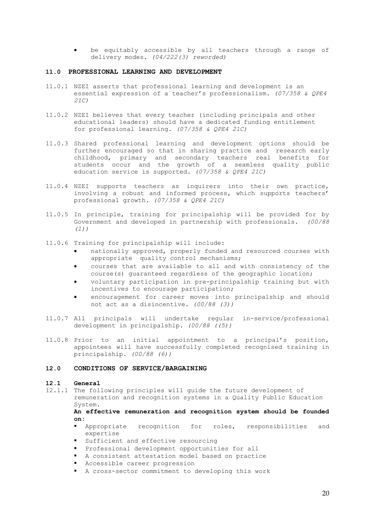be equitably accessible by all teachers through a range of delivery modes. *(04/222(3) reworded)*

## **11.0 PROFESSIONAL LEARNING AND DEVELOPMENT**

- 11.0.1 NZEI asserts that professional learning and development is an essential expression of a teacher's professionalism. *(07/358 & QPE4 21C)*
- 11.0.2 NZEI believes that every teacher (including principals and other educational leaders) should have a dedicated funding entitlement for professional learning. *(07/358 & QPE4 21C)*
- 11.0.3 Shared professional learning and development options should be further encouraged so that in sharing practice and research early childhood, primary and secondary teachers real benefits for students occur and the growth of a seamless quality public education service is supported. *(07/358 & QPE4 21C)*
- 11.0.4 NZEI supports teachers as inquirers into their own practice, involving a robust and informed process, which supports teachers' professional growth. *(07/358 & QPE4 21C)*
- 11.0.5 In principle, training for principalship will be provided for by Government and developed in partnership with professionals. *(00/88 (1))*
- 11.0.6 Training for principalship will include:
	- nationally approved, properly funded and resourced courses with appropriate quality control mechanisms;
	- courses that are available to all and with consistency of the course(s) guaranteed regardless of the geographic location;
	- voluntary participation in pre-principalship training but with incentives to encourage participation;
	- encouragement for career moves into principalship and should not act as a disincentive. *(00/88 (3))*
- 11.0.7 All principals will undertake regular in-service/professional development in principalship. *(00/88 ((5))*
- 11.0.8 Prior to an initial appointment to a principal's position, appointees will have successfully completed recognised training in principalship. *(00/88 (6))*

#### **12.0 CONDITIONS OF SERVICE/BARGAINING**

## **12.1 General**

12.1.1 The following principles will guide the future development of remuneration and recognition systems in a Quality Public Education System.

**An effective remuneration and recognition system should be founded on:**

- § Appropriate recognition for roles, responsibilities and expertise
- Sufficient and effective resourcing
- § Professional development opportunities for all
- § A consistent attestation model based on practice
- Accessible career progression
- A cross-sector commitment to developing this work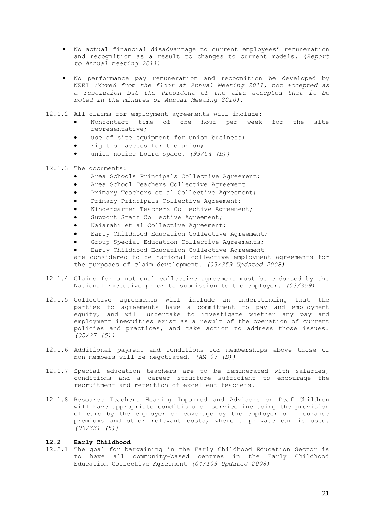- § No actual financial disadvantage to current employees' remuneration and recognition as a result to changes to current models. (*Report to Annual meeting 2011)*
- No performance pay remuneration and recognition be developed by NZEI *(Moved from the floor at Annual Meeting 2011, not accepted as a resolution but the President of the time accepted that it be noted in the minutes of Annual Meeting 2010).*
- 12.1.2 All claims for employment agreements will include:
	- Noncontact time of one hour per week for the site representative;
	- use of site equipment for union business;
	- right of access for the union;
	- union notice board space. *(99/54 (h))*
- 12.1.3 The documents:
	- Area Schools Principals Collective Agreement;
	- Area School Teachers Collective Agreement
	- Primary Teachers et al Collective Agreement;
	- Primary Principals Collective Agreement;
	- Kindergarten Teachers Collective Agreement;
	- Support Staff Collective Agreement;
	- Kaiarahi et al Collective Agreement;
	- Early Childhood Education Collective Agreement;
	- Group Special Education Collective Agreements;
	- Early Childhood Education Collective Agreement
	- are considered to be national collective employment agreements for the purposes of claim development. *(03/359 Updated 2008)*
- 12.1.4 Claims for a national collective agreement must be endorsed by the National Executive prior to submission to the employer. *(03/359)*
- 12.1.5 Collective agreements will include an understanding that the parties to agreements have a commitment to pay and employment equity, and will undertake to investigate whether any pay and employment inequities exist as a result of the operation of current policies and practices, and take action to address those issues. *(05/27 (5))*
- 12.1.6 Additional payment and conditions for memberships above those of non-members will be negotiated. *(AM 07 (B))*
- 12.1.7 Special education teachers are to be remunerated with salaries, conditions and a career structure sufficient to encourage the recruitment and retention of excellent teachers.
- 12.1.8 Resource Teachers Hearing Impaired and Advisers on Deaf Children will have appropriate conditions of service including the provision of cars by the employer or coverage by the employer of insurance premiums and other relevant costs, where a private car is used. *(99/331 (8))*
- **12.2 Early Childhood**
- 12.2.1 The goal for bargaining in the Early Childhood Education Sector is to have all community-based centres in the Early Childhood Education Collective Agreement *(04/109 Updated 2008)*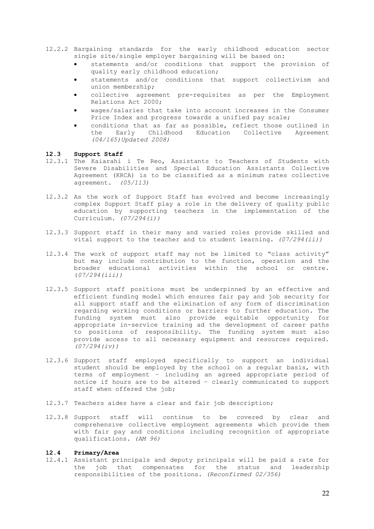- 12.2.2 Bargaining standards for the early childhood education sector single site/single employer bargaining will be based on:
	- statements and/or conditions that support the provision of quality early childhood education;
	- statements and/or conditions that support collectivism and union membership;
	- collective agreement pre-requisites as per the Employment Relations Act 2000;
	- wages/salaries that take into account increases in the Consumer Price Index and progress towards a unified pay scale;
	- conditions that as far as possible, reflect those outlined in the Early Childhood Education Collective Agreement *(04/165)Updated 2008)*

## **12.3 Support Staff**

- 12.3.1 The Kaiarahi i Te Reo, Assistants to Teachers of Students with Severe Disabilities and Special Education Assistants Collective Agreement (KRCA) is to be classified as a minimum rates collective agreement. *(05/113)*
- 12.3.2 As the work of Support Staff has evolved and become increasingly complex Support Staff play a role in the delivery of quality public education by supporting teachers in the implementation of the Curriculum. *(07/294(i))*
- 12.3.3 Support staff in their many and varied roles provide skilled and vital support to the teacher and to student learning. *(07/294(ii))*
- 12.3.4 The work of support staff may not be limited to "class activity" but may include contribution to the function, operation and the broader educational activities within the school or centre. (*07/294(iii))*
- 12.3.5 Support staff positions must be underpinned by an effective and efficient funding model which ensures fair pay and job security for all support staff and the elimination of any form of discrimination regarding working conditions or barriers to further education. The funding system must also provide equitable opportunity for appropriate in-service training ad the development of career paths to positions of responsibility. The funding system must also provide access to all necessary equipment and resources required. *(07/294(iv))*
- 12.3.6 Support staff employed specifically to support an individual student should be employed by the school on a regular basis, with terms of employment – including an agreed appropriate period of notice if hours are to be altered – clearly communicated to support staff when offered the job;
- 12.3.7 Teachers aides have a clear and fair job description;
- 12.3.8 Support staff will continue to be covered by clear and comprehensive collective employment agreements which provide them with fair pay and conditions including recognition of appropriate qualifications. *(AM 96)*

#### **12.4 Primary/Area**

12.4.1 Assistant principals and deputy principals will be paid a rate for the job that compensates for the status and leadership responsibilities of the positions. *(Reconfirmed 02/356)*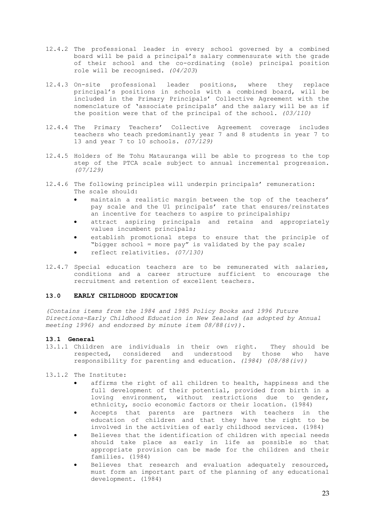- 12.4.2 The professional leader in every school governed by a combined board will be paid a principal's salary commensurate with the grade of their school and the co-ordinating (sole) principal position role will be recognised. *(04/203*)
- 12.4.3 On-site professional leader positions, where they replace principal's positions in schools with a combined board, will be included in the Primary Principals' Collective Agreement with the nomenclature of 'associate principals' and the salary will be as if the position were that of the principal of the school. *(03/110)*
- 12.4.4 The Primary Teachers' Collective Agreement coverage includes teachers who teach predominantly year 7 and 8 students in year 7 to 13 and year 7 to 10 schools. *(07/129)*
- 12.4.5 Holders of He Tohu Matauranga will be able to progress to the top step of the PTCA scale subject to annual incremental progression. *(07/129)*
- 12.4.6 The following principles will underpin principals' remuneration: The scale should:
	- maintain a realistic margin between the top of the teachers' pay scale and the U1 principals' rate that ensures/reinstates an incentive for teachers to aspire to principalship;
	- attract aspiring principals and retains and appropriately values incumbent principals;
	- establish promotional steps to ensure that the principle of "bigger school = more pay" is validated by the pay scale;
	- reflect relativities. *(07/130)*
- 12.4.7 Special education teachers are to be remunerated with salaries, conditions and a career structure sufficient to encourage the recruitment and retention of excellent teachers.

## **13.0 EARLY CHILDHOOD EDUCATION**

*(Contains items from the 1984 and 1985 Policy Books and 1996 Future Directions-Early Childhood Education in New Zealand (as adopted by Annual meeting 1996) and endorsed by minute item 08/88(iv)).*

## **13.1 General**

- 13.1.1 Children are individuals in their own right. They should be respected, considered and understood by those who have responsibility for parenting and education. *(1984) (08/88(iv))*
- 13.1.2 The Institute:
	- affirms the right of all children to health, happiness and the full development of their potential, provided from birth in a loving environment, without restrictions due to gender, ethnicity, socio economic factors or their location. (1984)
	- Accepts that parents are partners with teachers in the education of children and that they have the right to be involved in the activities of early childhood services. (1984)
	- Believes that the identification of children with special needs should take place as early in life as possible so that appropriate provision can be made for the children and their families. (1984)
	- Believes that research and evaluation adequately resourced, must form an important part of the planning of any educational development**.** (1984)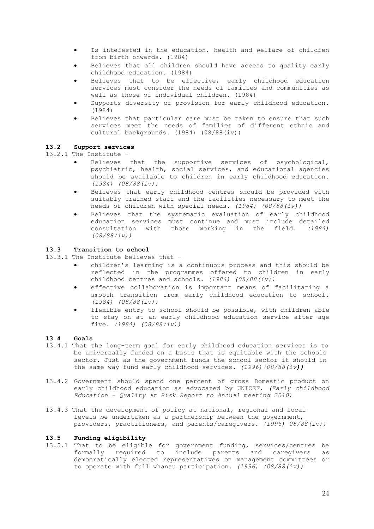- Is interested in the education, health and welfare of children from birth onwards. (1984)
- Believes that all children should have access to quality early childhood education. (1984)
- Believes that to be effective, early childhood education services must consider the needs of families and communities as well as those of individual children. (1984)
- Supports diversity of provision for early childhood education. (1984)
- Believes that particular care must be taken to ensure that such services meet the needs of families of different ethnic and cultural backgrounds. (1984) (08/88(iv))

## **13.2 Support services**

13.2.1 The Institute –

- Believes that the supportive services of psychological, psychiatric, health, social services, and educational agencies should be available to children in early childhood education. *(1984) (08/88(iv))*
- Believes that early childhood centres should be provided with suitably trained staff and the facilities necessary to meet the needs of children with special needs. *(1984) (08/88(iv))*
- Believes that the systematic evaluation of early childhood education services must continue and must include detailed consultation with those working in the field. *(1984) (08/88(iv))*

## **13.3 Transition to school**

13.3.1 The Institute believes that –

- children's learning is a continuous process and this should be reflected in the programmes offered to children in early childhood centres and schools. *(1984) (08/88(iv))*
- effective collaboration is important means of facilitating a smooth transition from early childhood education to school. *(1984) (08/88(iv))*
- flexible entry to school should be possible, with children able to stay on at an early childhood education service after age five. *(1984) (08/88(iv))*

## **13.4 Goals**

- 13.4.1 That the long-term goal for early childhood education services is to be universally funded on a basis that is equitable with the schools sector. Just as the government funds the school sector it should in the same way fund early childhood services. *(1996)(08/88(iv))*
- 13.4.2 Government should spend one percent of gross Domestic product on early childhood education as advocated by UNICEF. *(Early childhood Education – Quality at Risk Report to Annual meeting 2010)*
- 13.4.3 That the development of policy at national, regional and local levels be undertaken as a partnership between the government, providers, practitioners, and parents/caregivers. *(1996) 08/88(iv))*

## **13.5 Funding eligibility**

13.5.1 That to be eligible for government funding, services/centres be formally required to include parents and caregivers as democratically elected representatives on management committees or to operate with full whanau participation. *(1996) (08/88(iv))*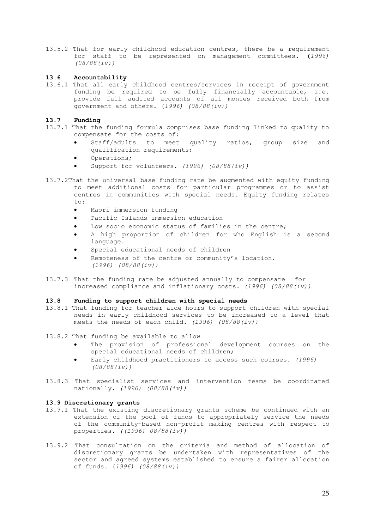13.5.2 That for early childhood education centres, there be a requirement for staff to be represented on management committees. **(***1996) (08/88(iv))*

## **13.6 Accountability**

13.6.1 That all early childhood centres/services in receipt of government funding be required to be fully financially accountable, i.e. provide full audited accounts of all monies received both from government and others. (*1996) (08/88(iv))*

### **13.7 Funding**

- 13.7.1 That the funding formula comprises base funding linked to quality to compensate for the costs of:
	- Staff/adults to meet quality ratios, group size and qualification requirements;
	- Operations;
	- Support for volunteers. *(1996) (08/88(iv))*
- 13.7.2That the universal base funding rate be augmented with equity funding to meet additional costs for particular programmes or to assist centres in communities with special needs. Equity funding relates  $t \cap$ .
	- Maori immersion funding
	- Pacific Islands immersion education
	- Low socio economic status of families in the centre;
	- A high proportion of children for who English is a second language.
	- Special educational needs of children
	- Remoteness of the centre or community's location. *(1996) (08/88(iv))*
- 13.7.3 That the funding rate be adjusted annually to compensate for increased compliance and inflationary costs. *(1996) (08/88(iv))*

#### **13.8 Funding to support children with special needs**

- 13.8.1 That funding for teacher aide hours to support children with special needs in early childhood services to be increased to a level that meets the needs of each child. *(1996) (08/88(iv))*
- 13.8.2 That funding be available to allow
	- The provision of professional development courses on the special educational needs of children;
	- Early childhood practitioners to access such courses. *(1996) (08/88(iv))*
- 13.8.3 That specialist services and intervention teams be coordinated nationally. *(1996) (08/88(iv))*

#### **13.9 Discretionary grants**

- 13.9.1 That the existing discretionary grants scheme be continued with an extension of the pool of funds to appropriately service the needs of the community-based non-profit making centres with respect to properties. *((1996) 08/88(iv))*
- 13.9.2 That consultation on the criteria and method of allocation of discretionary grants be undertaken with representatives of the sector and agreed systems established to ensure a fairer allocation of funds. (*1996) (08/88(iv))*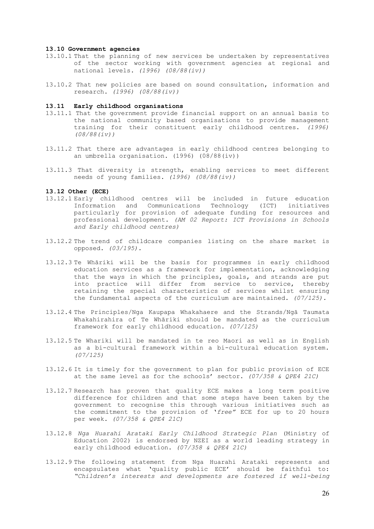#### **13.10 Government agencies**

- 13.10.1 That the planning of new services be undertaken by representatives of the sector working with government agencies at regional and national levels. *(1996) (08/88(iv))*
- 13.10.2 That new policies are based on sound consultation, information and research. *(1996) (08/88(iv))*

## **13.11 Early childhood organisations**

- 13.11.1 That the government provide financial support on an annual basis to the national community based organisations to provide management training for their constituent early childhood centres. *(1996) (08/88(iv))*
- 13.11.2 That there are advantages in early childhood centres belonging to an umbrella organisation. (1996) (08/88(iv))
- 13.11.3 That diversity is strength, enabling services to meet different needs of young families. *(1996) (08/88(iv))*

## **13.12 Other (ECE)**

- 13.12.1 Early childhood centres will be included in future education Information and Communications Technology (ICT) initiatives particularly for provision of adequate funding for resources and professional development. *(AM 02 Report: ICT Provisions in Schools and Early childhood centres)*
- 13.12.2 The trend of childcare companies listing on the share market is opposed. *(03/195).*
- 13.12.3 Te Whāriki will be the basis for programmes in early childhood education services as a framework for implementation, acknowledging that the ways in which the principles, goals, and strands are put into practice will differ from service to service, thereby retaining the special characteristics of services whilst ensuring the fundamental aspects of the curriculum are maintained. *(07/125).*
- 13.12.4 The Principles/Nga Kaupapa Whakahaere and the Strands/Ngā Taumata Whakahirahira of Te Whāriki should be mandated as the curriculum framework for early childhood education. *(07/125)*
- 13.12.5 Te Whariki will be mandated in te reo Maori as well as in English as a bi-cultural framework within a bi-cultural education system. *(07/125)*
- 13.12.6 It is timely for the government to plan for public provision of ECE at the same level as for the schools' sector. *(07/358 & QPE4 21C)*
- 13.12.7 Research has proven that quality ECE makes a long term positive difference for children and that some steps have been taken by the government to recognise this through various initiatives such as the commitment to the provision of '*free"* ECE for up to 20 hours per week. *(07/358 & QPE4 21C)*
- 13.12.8 *Nga Huarahi Arataki Early Childhood Strategic Plan* (Ministry of Education 2002) is endorsed by NZEI as a world leading strategy in early childhood education. *(07/358 & QPE4 21C)*
- 13.12.9 The following statement from Nga Huarahi Arataki represents and encapsulates what 'quality public ECE' should be faithful to: *"Children's interests and developments are fostered if well-being*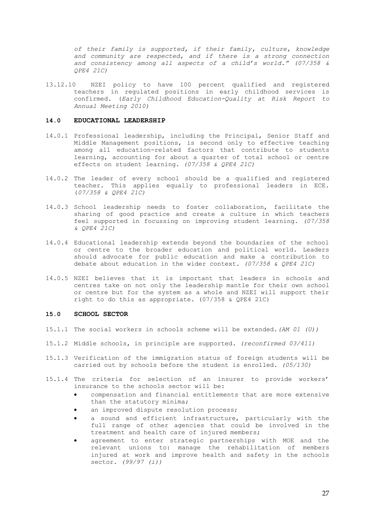*of their family is supported, if their family, culture, knowledge and community are respected, and if there is a strong connection and consistency among all aspects of a child's world." (07/358 & QPE4 21C)*

13.12.10 NZEI policy to have 100 percent qualified and registered teachers in regulated positions in early childhood services is confirmed. (*Early Childhood Education-Quality at Risk Report to Annual Meeting 2010)*

## **14.0 EDUCATIONAL LEADERSHIP**

- 14.0.1 Professional leadership, including the Principal, Senior Staff and Middle Management positions, is second only to effective teaching among all education-related factors that contribute to students learning, accounting for about a quarter of total school or centre effects on student learning. *(07/358 & QPE4 21C)*
- 14.0.2 The leader of every school should be a qualified and registered teacher. This applies equally to professional leaders in ECE. (*07/358 & QPE4 21C)*
- 14.0.3 School leadership needs to foster collaboration, facilitate the sharing of good practice and create a culture in which teachers feel supported in focussing on improving student learning. *(07/358 & QPE4 21C)*
- 14.0.4 Educational leadership extends beyond the boundaries of the school or centre to the broader education and political world. Leaders should advocate for public education and make a contribution to debate about education in the wider context. *(07/358 & QPE4 21C)*
- 14.0.5 NZEI believes that it is important that leaders in schools and centres take on not only the leadership mantle for their own school or centre but for the system as a whole and NZEI will support their right to do this as appropriate. (07/358 & QPE4 21C)

## **15.0 SCHOOL SECTOR**

- 15.1.1 The social workers in schools scheme will be extended*.(AM 01 (U))*
- 15.1.2 Middle schools, in principle are supported. *(reconfirmed 03/411)*
- 15.1.3 Verification of the immigration status of foreign students will be carried out by schools before the student is enrolled. *(05/130)*
- 15.1.4 The criteria for selection of an insurer to provide workers' insurance to the schools sector will be:
	- compensation and financial entitlements that are more extensive than the statutory minima;
	- an improved dispute resolution process;
	- a sound and efficient infrastructure, particularly with the full range of other agencies that could be involved in the treatment and health care of injured members;
	- agreement to enter strategic partnerships with MOE and the relevant unions to: manage the rehabilitation of members injured at work and improve health and safety in the schools sector. *(99/97 (i))*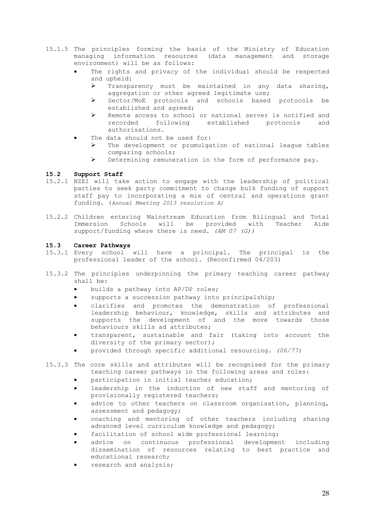- 15.1.5 The principles forming the basis of the Ministry of Education managing information resources (data management and storage environment) will be as follows:
	- The rights and privacy of the individual should be respected and upheld:
		- $\triangleright$  Transparency must be maintained in any data sharing, aggregation or other agreed legitimate use;
		- Ø Sector/MoE protocols and schools based protocols be established and agreed;
		- Ø Remote access to school or national server is notified and recorded following established protocols and authorisations.
	- The data should not be used for:
		- $\triangleright$  The development or promulgation of national league tables comparing schools;
		- Ø Determining remuneration in the form of performance pay.

## **15.2 Support Staff**

- 15.2.1 NZEI will take action to engage with the leadership of political parties to seek party commitment to change bulk funding of support staff pay to incorporating a mix of central and operations grant funding. (*Annual Meeting 2013 resolution A)*
- 15.2.2 Children entering Mainstream Education from Bilingual and Total Immersion Schools will be provided with Teacher Aide support/funding where there is need. *(AM 07 (G))*

## **15.3 Career Pathways**

- 15.3.1 Every school will have a principal. The principal is the professional leader of the school. (Reconfirmed 04/203)
- 15.3.2 The principles underpinning the primary teaching career pathway shall be:
	- builds a pathway into AP/DP roles;
	- supports a succession pathway into principalship;
	- clarifies and promotes the demonstration of professional leadership behaviour, knowledge, skills and attributes and supports the development of and the move towards those behaviours skills ad attributes;
	- transparent, sustainable and fair (taking into account the diversity of the primary sector);
	- provided through specific additional resourcing. *(06/77)*
- 15.3.3 The core skills and attributes will be recognised for the primary teaching career pathways in the following areas and roles:
	- participation in initial teacher education;
	- leadership in the induction of new staff and mentoring of provisionally registered teachers;
	- advice to other teachers on classroom organisation, planning, assessment and pedagogy;
	- coaching and mentoring of other teachers including sharing advanced level curriculum knowledge and pedagogy;
	- facilitation of school wide professional learning;
	- advice on continuous professional development including dissemination of resources relating to best practice and educational research;
	- research and analysis;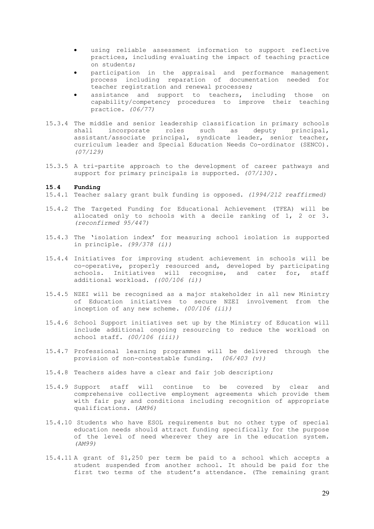- using reliable assessment information to support reflective practices, including evaluating the impact of teaching practice on students;
- participation in the appraisal and performance management process including reparation of documentation needed for teacher registration and renewal processes;
- assistance and support to teachers, including those on capability/competency procedures to improve their teaching practice. *(06/77)*
- 15.3.4 The middle and senior leadership classification in primary schools shall incorporate roles such as deputy principal, assistant/associate principal, syndicate leader, senior teacher, curriculum leader and Special Education Needs Co-ordinator (SENCO). *(07/129)*
- 15.3.5 A tri-partite approach to the development of career pathways and support for primary principals is supported. *(07/130).*

#### **15.4 Funding**

- 15.4.1 Teacher salary grant bulk funding is opposed. *(1994/212 reaffirmed)*
- 15.4.2 The Targeted Funding for Educational Achievement (TFEA) will be allocated only to schools with a decile ranking of 1, 2 or 3. *(reconfirmed 95/447)*
- 15.4.3 The 'isolation index' for measuring school isolation is supported in principle. *(99/378 (i))*
- 15.4.4 Initiatives for improving student achievement in schools will be co-operative, properly resourced and, developed by participating schools. Initiatives will recognise, and cater for, staff additional workload. *((00/106 (i))*
- 15.4.5 NZEI will be recognised as a major stakeholder in all new Ministry of Education initiatives to secure NZEI involvement from the inception of any new scheme. *(00/106 (ii))*
- 15.4.6 School Support initiatives set up by the Ministry of Education will include additional ongoing resourcing to reduce the workload on school staff. *(00/106 (iii))*
- 15.4.7 Professional learning programmes will be delivered through the provision of non-contestable funding. *(06/403 (v))*
- 15.4.8 Teachers aides have a clear and fair job description;
- 15.4.9 Support staff will continue to be covered by clear and comprehensive collective employment agreements which provide them with fair pay and conditions including recognition of appropriate qualifications. (*AM96)*
- 15.4.10 Students who have ESOL requirements but no other type of special education needs should attract funding specifically for the purpose of the level of need wherever they are in the education system. *(AM99)*
- 15.4.11 A grant of \$1,250 per term be paid to a school which accepts a student suspended from another school. It should be paid for the first two terms of the student's attendance. (The remaining grant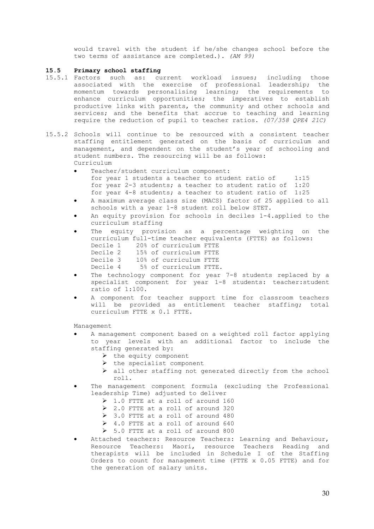would travel with the student if he/she changes school before the two terms of assistance are completed.). *(AM 99)*

## **15.5 Primary school staffing**

- 15.5.1 Factors such as: current workload issues; including those associated with the exercise of professional leadership; the momentum towards personalising learning; the requirements to enhance curriculum opportunities; the imperatives to establish productive links with parents, the community and other schools and services; and the benefits that accrue to teaching and learning require the reduction of pupil to teacher ratios. *(07/358 QPE4 21C)*
- 15.5.2 Schools will continue to be resourced with a consistent teacher staffing entitlement generated on the basis of curriculum and management, and dependent on the student's year of schooling and student numbers. The resourcing will be as follows: Curriculum
	- Teacher/student curriculum component: for year 1 students a teacher to student ratio of  $1:15$ for year 2-3 students; a teacher to student ratio of 1:20 for year 4-8 students; a teacher to student ratio of 1:25
	- A maximum average class size (MACS) factor of 25 applied to all schools with a year 1-8 student roll below STET.
	- An equity provision for schools in deciles 1-4.applied to the curriculum staffing
	- The equity provision as a percentage weighting on the curriculum full-time teacher equivalents (FTTE) as follows: Decile 1 20% of curriculum FTTE Decile 2 15% of curriculum FTTE Decile 3 10% of curriculum FTTE<br>Decile 4 5% of curriculum FTTE 5% of curriculum FTTE.
	- The technology component for year 7-8 students replaced by a specialist component for year 1-8 students: teacher:student ratio of 1:100.
	- A component for teacher support time for classroom teachers will be provided as entitlement teacher staffing; total curriculum FTTE x 0.1 FTTE.

Management

- A management component based on a weighted roll factor applying to year levels with an additional factor to include the staffing generated by:
	- $\triangleright$  the equity component
	- the specialist component
	- $\triangleright$  all other staffing not generated directly from the school roll.
- The management component formula (excluding the Professional leadership Time) adjusted to deliver
	- Ø 1.0 FTTE at a roll of around 160
	- Ø 2.0 FTTE at a roll of around 320
	- Ø 3.0 FTTE at a roll of around 480
	- Ø 4.0 FTTE at a roll of around 640
	- Ø 5.0 FTTE at a roll of around 800
- Attached teachers: Resource Teachers: Learning and Behaviour, Resource Teachers: Maori, resource Teachers Reading and therapists will be included in Schedule I of the Staffing Orders to count for management time (FTTE x 0.05 FTTE) and for the generation of salary units.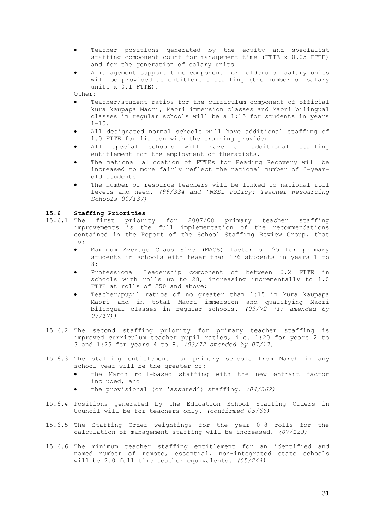- Teacher positions generated by the equity and specialist staffing component count for management time (FTTE x 0.05 FTTE) and for the generation of salary units.
- A management support time component for holders of salary units will be provided as entitlement staffing (the number of salary units x 0.1 FTTE).

Other:

- Teacher/student ratios for the curriculum component of official kura kaupapa Maori, Maori immersion classes and Maori bilingual classes in regular schools will be a 1:15 for students in years  $1 - 15$ .
- All designated normal schools will have additional staffing of 1.0 FTTE for liaison with the training provider.
- All special schools will have an additional staffing entitlement for the employment of therapists.
- The national allocation of FTTEs for Reading Recovery will be increased to more fairly reflect the national number of 6-yearold students.
- The number of resource teachers will be linked to national roll levels and need. *(99/334 and "NZEI Policy: Teacher Resourcing Schools 00/137)*

## **15.6 Staffing Priorities**

- 15.6.1 The first priority for 2007/08 primary teacher staffing improvements is the full implementation of the recommendations contained in the Report of the School Staffing Review Group, that is:
	- Maximum Average Class Size (MACS) factor of 25 for primary students in schools with fewer than 176 students in years 1 to 8;
	- Professional Leadership component of between 0.2 FTTE in schools with rolls up to 28, increasing incrementally to 1.0 FTTE at rolls of 250 and above;
	- Teacher/pupil ratios of no greater than 1:15 in kura kaupapa Maori and in total Maori immersion and qualifying Maori bilingual classes in regular schools. *(03/72 (1) amended by 07/17))*
- 15.6.2 The second staffing priority for primary teacher staffing is improved curriculum teacher pupil ratios, i.e. 1:20 for years 2 to 3 and 1:25 for years 4 to 8. *(03/72 amended by 07/17)*
- 15.6.3 The staffing entitlement for primary schools from March in any school year will be the greater of:
	- the March roll-based staffing with the new entrant factor included, and
	- the provisional (or 'assured') staffing. *(04/362)*
- 15.6.4 Positions generated by the Education School Staffing Orders in Council will be for teachers only. *(confirmed 05/66)*
- 15.6.5 The Staffing Order weightings for the year 0-8 rolls for the calculation of management staffing will be increased. *(07/129)*
- 15.6.6 The minimum teacher staffing entitlement for an identified and named number of remote, essential, non-integrated state schools will be 2.0 full time teacher equivalents. *(05/244)*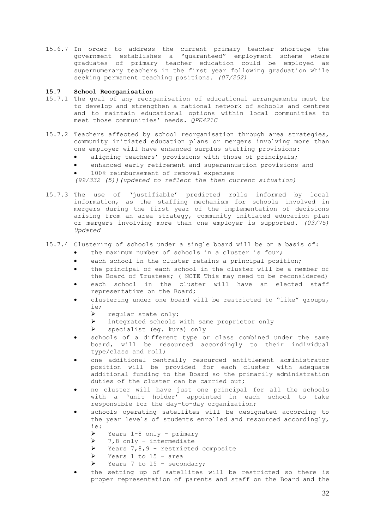15.6.7 In order to address the current primary teacher shortage the government establishes a "guaranteed" employment scheme where graduates of primary teacher education could be employed as supernumerary teachers in the first year following graduation while seeking permanent teaching positions. *(07/252)*

## **15.7 School Reorganisation**

- 15.7.1 The goal of any reorganisation of educational arrangements must be to develop and strengthen a national network of schools and centres and to maintain educational options within local communities to meet those communities' needs. *QPE421C*
- 15.7.2 Teachers affected by school reorganisation through area strategies, community initiated education plans or mergers involving more than one employer will have enhanced surplus staffing provisions:
	- aligning teachers' provisions with those of principals;
	- enhanced early retirement and superannuation provisions and
	- 100% reimbursement of removal expenses

*(99/332 (5))(updated to reflect the then current situation)*

15.7.3 The use of 'justifiable' predicted rolls informed by local information, as the staffing mechanism for schools involved in mergers during the first year of the implementation of decisions arising from an area strategy, community initiated education plan or mergers involving more than one employer is supported. *(03/75) Updated*

## 15.7.4 Clustering of schools under a single board will be on a basis of:

- the maximum number of schools in a cluster is four;
- each school in the cluster retains a principal position;
- the principal of each school in the cluster will be a member of the Board of Trustees; ( NOTE This may need to be reconsidered)
- each school in the cluster will have an elected staff representative on the Board;
- clustering under one board will be restricted to "like" groups, ie;
	- $\triangleright$  regular state only;
	- Ø integrated schools with same proprietor only
	- $\triangleright$  specialist (eg. kura) only
- schools of a different type or class combined under the same board, will be resourced accordingly to their individual type/class and roll;
- one additional centrally resourced entitlement administrator position will be provided for each cluster with adequate additional funding to the Board so the primarily administration duties of the cluster can be carried out;
- no cluster will have just one principal for all the schools with a 'unit holder' appointed in each school to take responsible for the day-to-day organization;
- schools operating satellites will be designated according to the year levels of students enrolled and resourced accordingly, ie:
	- Ø Years 1-8 only primary
	- $\triangleright$  7,8 only intermediate
	- $\triangleright$  Years 7,8,9 restricted composite
	- $\triangleright$  Years 1 to 15 area
	- $\triangleright$  Years 7 to 15 secondary;
- the setting up of satellites will be restricted so there is proper representation of parents and staff on the Board and the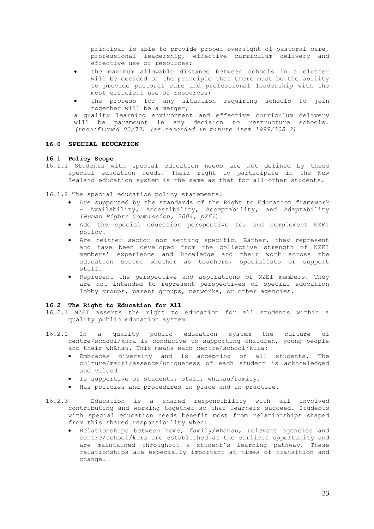principal is able to provide proper oversight of pastoral care, professional leadership, effective curriculum delivery and effective use of resources;

- the maximum allowable distance between schools in a cluster will be decided on the principle that there must be the ability to provide pastoral care and professional leadership with the most efficient use of resources;
- the process for any situation requiring schools to join together will be a merger;

a quality learning environment and effective curriculum delivery will be paramount in any decision to restructure schools. *(reconfirmed 03/73) (as recorded in minute item 1999/108 2)* 

## **16.0 SPECIAL EDUCATION**

## **16.1 Policy Scope**

16.1.1 Students with special education needs are not defined by those special education needs. Their right to participate in the New Zealand education system is the same as that for all other students.

16.1.2 The special education policy statements:

- Are supported by the standards of the Right to Education framework – Availability, Accessibility, Acceptability, and Adaptability (*Human Rights Commission, 2004, p261*).
- Add the special education perspective to, and complement NZEI policy.
- Are neither sector nor setting specific. Rather, they represent and have been developed from the collective strength of NZEI members' experience and knowledge and their work across the education sector whether as teachers, specialists or support staff.
- Represent the perspective and aspirations of NZEI members. They are not intended to represent perspectives of special education lobby groups, parent groups, networks, or other agencies.

## **16.2 The Right to Education for All**

- 16.2.1 NZEI asserts the right to education for all students within a quality public education system.
- 16.2.2 In a quality public education system the culture of centre/school/kura is conducive to supporting children, young people and their whānau. This means each centre/school/kura:
	- Embraces diversity and is accepting of all students. The culture/mauri/essence/uniqueness of each student is acknowledged and valued
	- Is supportive of students, staff, whānau/family.
	- Has policies and procedures in place and in practice.
- 16.2.3 Education is a shared responsibility with all involved contributing and working together so that learners succeed. Students with special education needs benefit most from relationships shaped from this shared responsibility when:
	- Relationships between home, family/whānau, relevant agencies and centre/school/kura are established at the earliest opportunity and are maintained throughout a student's learning pathway. These relationships are especially important at times of transition and change.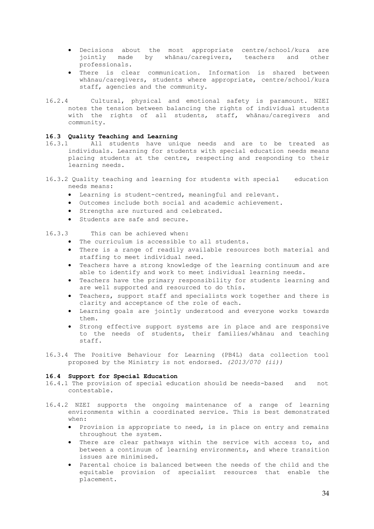- Decisions about the most appropriate centre/school/kura are jointly made by whānau/caregivers, teachers and other professionals.
- There is clear communication. Information is shared between whānau/caregivers, students where appropriate, centre/school/kura staff, agencies and the community.
- 16.2.4 Cultural, physical and emotional safety is paramount. NZEI notes the tension between balancing the rights of individual students with the rights of all students, staff, whānau/caregivers and community.

## **16.3 Quality Teaching and Learning**

- All students have unique needs and are to be treated as individuals. Learning for students with special education needs means placing students at the centre, respecting and responding to their learning needs.
- 16.3.2 Quality teaching and learning for students with special education needs means:
	- Learning is student-centred, meaningful and relevant.
	- Outcomes include both social and academic achievement.
	- Strengths are nurtured and celebrated.
	- Students are safe and secure.

## 16.3.3 This can be achieved when:

- The curriculum is accessible to all students.
- There is a range of readily available resources both material and staffing to meet individual need.
- Teachers have a strong knowledge of the learning continuum and are able to identify and work to meet individual learning needs.
- Teachers have the primary responsibility for students learning and are well supported and resourced to do this.
- Teachers, support staff and specialists work together and there is clarity and acceptance of the role of each.
- Learning goals are jointly understood and everyone works towards them.
- Strong effective support systems are in place and are responsive to the needs of students, their families/whānau and teaching staff.
- 16.3.4 The Positive Behaviour for Learning (PB4L) data collection tool proposed by the Ministry is not endorsed. *(2013/070 (ii))*

## **16.4 Support for Special Education**

- 16.4.1 The provision of special education should be needs-based and not contestable.
- 16.4.2 NZEI supports the ongoing maintenance of a range of learning environments within a coordinated service. This is best demonstrated when:
	- Provision is appropriate to need, is in place on entry and remains throughout the system.
	- There are clear pathways within the service with access to, and between a continuum of learning environments, and where transition issues are minimised.
	- Parental choice is balanced between the needs of the child and the equitable provision of specialist resources that enable the placement.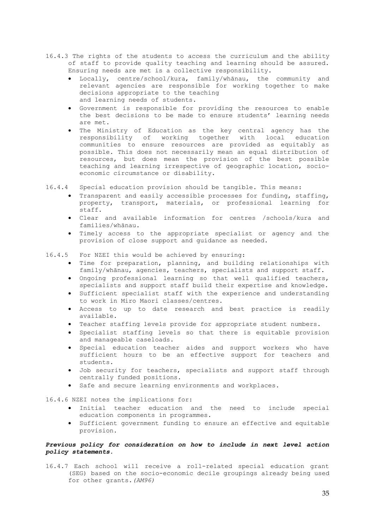- 16.4.3 The rights of the students to access the curriculum and the ability of staff to provide quality teaching and learning should be assured. Ensuring needs are met is a collective responsibility.
	- Locally, centre/school/kura, family/whānau, the community and relevant agencies are responsible for working together to make decisions appropriate to the teaching and learning needs of students.
	- Government is responsible for providing the resources to enable the best decisions to be made to ensure students' learning needs are met.
	- The Ministry of Education as the key central agency has the responsibility of working together with local education communities to ensure resources are provided as equitably as possible. This does not necessarily mean an equal distribution of resources, but does mean the provision of the best possible teaching and learning irrespective of geographic location, socioeconomic circumstance or disability.
- 16.4.4 Special education provision should be tangible. This means:
	- Transparent and easily accessible processes for funding, staffing, property, transport, materials, or professional learning for staff.
	- Clear and available information for centres /schools/kura and families/whānau.
	- Timely access to the appropriate specialist or agency and the provision of close support and guidance as needed.
- 16.4.5 For NZEI this would be achieved by ensuring:
	- Time for preparation, planning, and building relationships with family/whānau, agencies, teachers, specialists and support staff.
	- Ongoing professional learning so that well qualified teachers, specialists and support staff build their expertise and knowledge.
	- Sufficient specialist staff with the experience and understanding to work in Miro Maori classes/centres.
	- Access to up to date research and best practice is readily available.
	- Teacher staffing levels provide for appropriate student numbers.
	- Specialist staffing levels so that there is equitable provision and manageable caseloads.
	- Special education teacher aides and support workers who have sufficient hours to be an effective support for teachers and students.
	- Job security for teachers, specialists and support staff through centrally funded positions.
	- Safe and secure learning environments and workplaces.

16.4.6 NZEI notes the implications for:

- Initial teacher education and the need to include special education components in programmes.
- Sufficient government funding to ensure an effective and equitable provision.

## *Previous policy for consideration on how to include in next level action policy statements.*

16.4.7 Each school will receive a roll-related special education grant (SEG) based on the socio-economic decile groupings already being used for other grants*.(AM96)*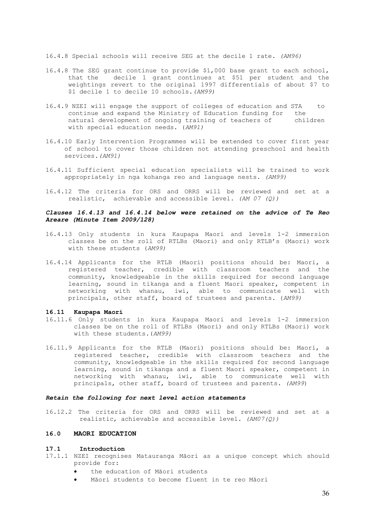16.4.8 Special schools will receive SEG at the decile 1 rate. *(AM96)*

- 16.4.8 The SEG grant continue to provide \$1,000 base grant to each school, that the decile 1 grant continues at \$51 per student and the weightings revert to the original 1997 differentials of about \$7 to \$1 decile 1 to decile 10 schools*.(AM99)*
- 16.4.9 NZEI will engage the support of colleges of education and STA to continue and expand the Ministry of Education funding for the natural development of ongoing training of teachers of children with special education needs. (*AM91)*
- 16.4.10 Early Intervention Programmes will be extended to cover first year of school to cover those children not attending preschool and health services*.(AM91)*
- 16.4.11 Sufficient special education specialists will be trained to work appropriately in nga kohanga reo and language nests. *(AM99)*
- 16.4.12 The criteria for ORS and ORRS will be reviewed and set at a realistic, achievable and accessible level. *(AM 07 (Q))*

## *Clauses 16.4.13 and 16.4.14 below were retained on the advice of Te Reo Areare (Minute Item 2009/128)*

- 16.4.13 Only students in kura Kaupapa Maori and levels 1-2 immersion classes be on the roll of RTLBs (Maori) and only RTLB's (Maori) work with these students (*AM99)*
- 16.4.14 Applicants for the RTLB (Maori) positions should be: Maori, a registered teacher, credible with classroom teachers and the community, knowledgeable in the skills required for second language learning, sound in tikanga and a fluent Maori speaker, competent in networking with whanau, iwi, able to communicate well with principals, other staff, board of trustees and parents. (*AM99)*

#### **16.11 Kaupapa Maori**

- 16.11.6 Only students in kura Kaupapa Maori and levels 1-2 immersion classes be on the roll of RTLBs (Maori) and only RTLBs (Maori) work with these students.(*AM99)*
- 16.11.9 Applicants for the RTLB (Maori) positions should be: Maori, a registered teacher, credible with classroom teachers and the community, knowledgeable in the skills required for second language learning, sound in tikanga and a fluent Maori speaker, competent in networking with whanau, iwi, able to communicate well with principals, other staff, board of trustees and parents. *(AM99*)

### *Retain the following for next level action statements*

16.12.2 The criteria for ORS and ORRS will be reviewed and set at a realistic, achievable and accessible level. *(AM07(Q))*

#### **16.0 MAORI EDUCATION**

#### **17.1 Introduction**

- 17.1.1 NZEI recognises Matauranga Māori as a unique concept which should provide for:
	- the education of Māori students
	- Māori students to become fluent in te reo Māori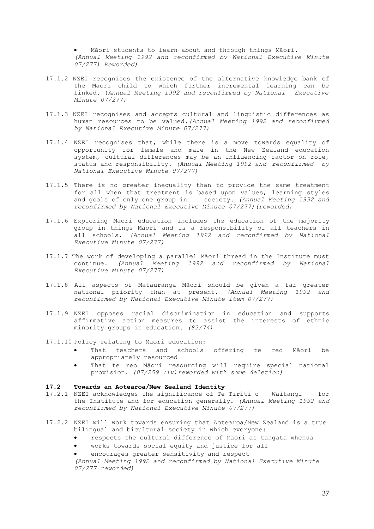Māori students to learn about and through things Māori. *(Annual Meeting 1992 and reconfirmed by National Executive Minute 07/277) Reworded)*

- 17.1.2 NZEI recognises the existence of the alternative knowledge bank of the Māori child to which further incremental learning can be linked. (*Annual Meeting 1992 and reconfirmed by National Executive Minute 07/277)*
- 17.1.3 NZEI recognises and accepts cultural and linguistic differences as human resources to be valued.*(Annual Meeting 1992 and reconfirmed by National Executive Minute 07/277)*
- 17.1.4 NZEI recognises that, while there is a move towards equality of opportunity for female and male in the New Zealand education system, cultural differences may be an influencing factor on role, status and responsibility. *(Annual Meeting 1992 and reconfirmed by National Executive Minute 07/277)*
- 17.1.5 There is no greater inequality than to provide the same treatment for all when that treatment is based upon values, learning styles and goals of only one group in society. *(Annual Meeting 1992 and reconfirmed by National Executive Minute 07/277)(reworded)*
- 17.1.6 Exploring Māori education includes the education of the majority group in things Māori and is a responsibility of all teachers in all schools. *(Annual Meeting 1992 and reconfirmed by National Executive Minute 07/277)*
- 17.1.7 The work of developing a parallel Māori thread in the Institute must continue. *(Annual Meeting 1992 and reconfirmed by National Executive Minute 07/277)*
- 17.1.8 All aspects of Matauranga Māori should be given a far greater national priority than at present. *(Annual Meeting 1992 and reconfirmed by National Executive Minute item 07/277)*
- 17.1.9 NZEI opposes racial discrimination in education and supports affirmative action measures to assist the interests of ethnic minority groups in education. *(82/74)*
- 17.1.10 Policy relating to Maori education:
	- That teachers and schools offering te reo Māori be appropriately resourced
	- That te reo Māori resourcing will require special national provision. *(07/259 (iv)reworded with some deletion)*

#### **17.2 Towards an Aotearoa/New Zealand Identity**

- 17.2.1 NZEI acknowledges the significance of Te Tiriti o Waitangi for the Institute and for education generally. *(Annual Meeting 1992 and reconfirmed by National Executive Minute 07/277)*
- 17.2.2 NZEI will work towards ensuring that Aotearoa/New Zealand is a true bilingual and bicultural society in which everyone:
	- respects the cultural difference of Māori as tangata whenua
	- works towards social equity and justice for all
	- encourages greater sensitivity and respect

*(Annual Meeting 1992 and reconfirmed by National Executive Minute 07/277 reworded)*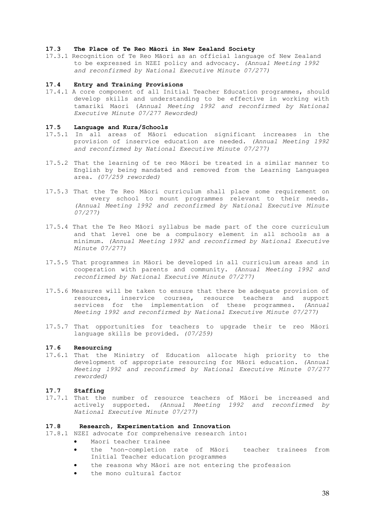## **17.3 The Place of Te Reo Māori in New Zealand Society**

17.3.1 Recognition of Te Reo Māori as an official language of New Zealand to be expressed in NZEI policy and advocacy. *(Annual Meeting 1992 and reconfirmed by National Executive Minute 07/277)*

## **17.4 Entry and Training Provisions**

17.4.1 A core component of all Initial Teacher Education programmes, should develop skills and understanding to be effective in working with tamariki Maori (*Annual Meeting 1992 and reconfirmed by National Executive Minute 07/277 Reworded)*

## **17.5 Language and Kura/Schools**

- 17.5.1 In all areas of Māori education significant increases in the provision of inservice education are needed. *(Annual Meeting 1992 and reconfirmed by National Executive Minute 07/277)*
- 17.5.2 That the learning of te reo Māori be treated in a similar manner to English by being mandated and removed from the Learning Languages area. *(07/259 reworded)*
- 17.5.3 That the Te Reo Māori curriculum shall place some requirement on every school to mount programmes relevant to their needs. *(Annual Meeting 1992 and reconfirmed by National Executive Minute 07/277)*
- 17.5.4 That the Te Reo Māori syllabus be made part of the core curriculum and that level one be a compulsory element in all schools as a minimum. *(Annual Meeting 1992 and reconfirmed by National Executive Minute 07/277)*
- 17.5.5 That programmes in Māori be developed in all curriculum areas and in cooperation with parents and community. *(Annual Meeting 1992 and reconfirmed by National Executive Minute 07/277)*
- 17.5.6 Measures will be taken to ensure that there be adequate provision of resources, inservice courses, resource teachers and support services for the implementation of these programmes. *(Annual Meeting 1992 and reconfirmed by National Executive Minute 07/277)*
- 17.5.7 That opportunities for teachers to upgrade their te reo Māori language skills be provided. *(07/259)*

#### **17.6 Resourcing**

17.6.1 That the Ministry of Education allocate high priority to the development of appropriate resourcing for Māori education. *(Annual Meeting 1992 and reconfirmed by National Executive Minute 07/277 reworded)*

#### **17.7 Staffing**

17.7.1 That the number of resource teachers of Māori be increased and actively supported. *(Annual Meeting 1992 and reconfirmed by National Executive Minute 07/277)* 

## **17.8 Research, Experimentation and Innovation**

- 17.8.1 NZEI advocate for comprehensive research into:
	- Maori teacher trainee
	- the 'non-completion rate of Māori teacher trainees from Initial Teacher education programmes
	- the reasons why Māori are not entering the profession
	- the mono cultural factor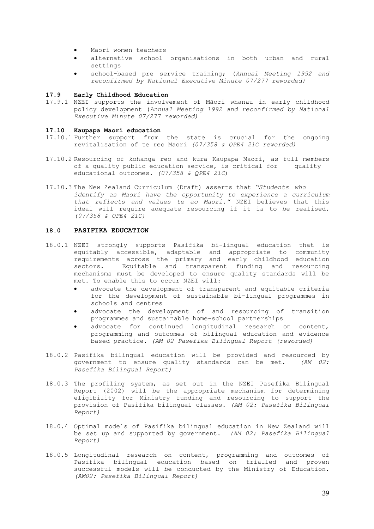- Maori women teachers
- alternative school organisations in both urban and rural settings
- school-based pre service training; (*Annual Meeting 1992 and reconfirmed by National Executive Minute 07/277 reworded)*

## **17.9 Early Childhood Education**

17.9.1 NZEI supports the involvement of Māori whanau in early childhood policy development (*Annual Meeting 1992 and reconfirmed by National Executive Minute 07/277 reworded)*

#### **17.10 Kaupapa Maori education**

- 17.10.1 Further support from the state is crucial for the ongoing revitalisation of te reo Maori *(07/358 & QPE4 21C reworded)*
- 17.10.2 Resourcing of kohanga reo and kura Kaupapa Maori, as full members of a quality public education service, is critical for quality educational outcomes. *(07/358 & QPE4 21C*)
- 17.10.3 The New Zealand Curriculum (Draft) asserts that *"Students who identify as Maori have the opportunity to experience a curriculum that reflects and values te ao Maori."* NZEI believes that this ideal will require adequate resourcing if it is to be realised. *(07/358 & QPE4 21C)*

## **18.0 PASIFIKA EDUCATION**

- 18.0.1 NZEI strongly supports Pasifika bi-lingual education that is equitably accessible, adaptable and appropriate to community requirements across the primary and early childhood education sectors. Equitable and transparent funding and resourcing mechanisms must be developed to ensure quality standards will be met. To enable this to occur NZEI will:
	- advocate the development of transparent and equitable criteria for the development of sustainable bi-lingual programmes in schools and centres
	- advocate the development of and resourcing of transition programmes and sustainable home-school partnerships
	- advocate for continued longitudinal research on content, programming and outcomes of bilingual education and evidence based practice. *(AM 02 Pasefika Bilingual Report (reworded)*
- 18.0.2 Pasifika bilingual education will be provided and resourced by government to ensure quality standards can be met. *(AM 02: Pasefika Bilingual Report)*
- 18.0.3 The profiling system, as set out in the NZEI Pasefika Bilingual Report (2002) will be the appropriate mechanism for determining eligibility for Ministry funding and resourcing to support the provision of Pasifika bilingual classes. *(AM 02: Pasefika Bilingual Report)*
- 18.0.4 Optimal models of Pasifika bilingual education in New Zealand will be set up and supported by government. *(AM 02: Pasefika Bilingual Report)*
- 18.0.5 Longitudinal research on content, programming and outcomes of Pasifika bilingual education based on trialled and proven successful models will be conducted by the Ministry of Education. *(AM02: Pasefika Bilingual Report)*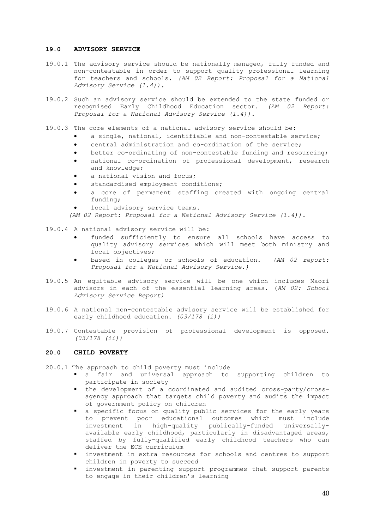## **19.0 ADVISORY SERVICE**

- 19.0.1 The advisory service should be nationally managed, fully funded and non-contestable in order to support quality professional learning for teachers and schools. *(AM 02 Report: Proposal for a National Advisory Service (1.4)).*
- 19.0.2 Such an advisory service should be extended to the state funded or recognised Early Childhood Education sector. *(AM 02 Report: Proposal for a National Advisory Service (1.4)).*
- 19.0.3 The core elements of a national advisory service should be:
	- a single, national, identifiable and non-contestable service;
	- central administration and co-ordination of the service;
	- better co-ordinating of non-contestable funding and resourcing;
	- national co-ordination of professional development, research and knowledge;
	- a national vision and focus;
	- standardised employment conditions;
	- a core of permanent staffing created with ongoing central funding;
	- local advisory service teams.

*(AM 02 Report: Proposal for a National Advisory Service (1.4)).*

- 19.0.4 A national advisory service will be:
	- funded sufficiently to ensure all schools have access to quality advisory services which will meet both ministry and local objectives;
	- based in colleges or schools of education. *(AM 02 report: Proposal for a National Advisory Service.)*
- 19.0.5 An equitable advisory service will be one which includes Maori advisors in each of the essential learning areas. (*AM 02: School Advisory Service Report)*
- 19.0.6 A national non-contestable advisory service will be established for early childhood education. *(03/178 (i))*
- 19.0.7 Contestable provision of professional development is opposed. *(03/178 (ii))*

## **20.0 CHILD POVERTY**

20.0.1 The approach to child poverty must include

- a fair and universal approach to supporting children to participate in society
- the development of a coordinated and audited cross-party/crossagency approach that targets child poverty and audits the impact of government policy on children
- § a specific focus on quality public services for the early years to prevent poor educational outcomes which must include investment in high-quality publically-funded universallyavailable early childhood, particularly in disadvantaged areas, staffed by fully-qualified early childhood teachers who can deliver the ECE curriculum
- § investment in extra resources for schools and centres to support children in poverty to succeed
- investment in parenting support programmes that support parents to engage in their children's learning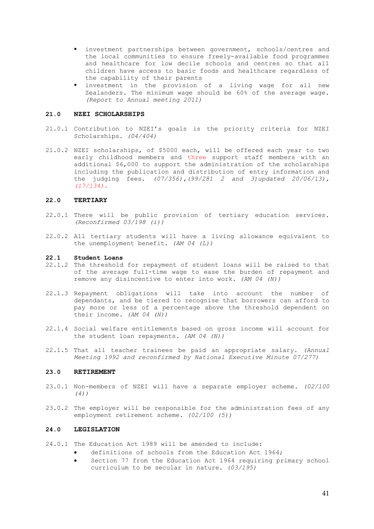- investment partnerships between government, schools/centres and the local communities to ensure freely-available food programmes and healthcare for low decile schools and centres so that all children have access to basic foods and healthcare regardless of the capability of their parents
- investment in the provision of a living wage for all new Zealanders. The minimum wage should be 60% of the average wage. *(Report to Annual meeting 2011)*

## **21.0 NZEI SCHOLARSHIPS**

- 21.0.1 Contribution to NZEI's goals is the priority criteria for NZEI Scholarships. *(04/404)*
- 21.0.2 NZEI scholarships, of \$5000 each, will be offered each year to two early childhood members and three support staff members with an additional \$6,000 to support the administration of the scholarships including the publication and distribution of entry information and the judging fees. *(07/356),(99/281 2 and 3)updated 20/06/13), (17/134).*

## **22.0 TERTIARY**

- 22.0.1 There will be public provision of tertiary education services. *(Reconfirmed 03/198 (i))*
- 22.0.2 All tertiary students will have a living allowance equivalent to the unemployment benefit. *(AM 04 (L))*

## **22.1 Student Loans**

- 22.1.2 The threshold for repayment of student loans will be raised to that of the average full-time wage to ease the burden of repayment and remove any disincentive to enter into work. *(AM 04 (N))*
- 22.1.3 Repayment obligations will take into account the number of dependants, and be tiered to recognise that borrowers can afford to pay more or less of a percentage above the threshold dependent on their income. *(AM 04 (N))*
- 22.1.4 Social welfare entitlements based on gross income will account for the student loan repayments. *(AM 04 (N))*
- 22.1.5 That all teacher trainees be paid an appropriate salary. *(Annual Meeting 1992 and reconfirmed by National Executive Minute 07/277)*

#### **23.0 RETIREMENT**

- 23.0.1 Non-members of NZEI will have a separate employer scheme. *(02/100 (4))*
- 23.0.2 The employer will be responsible for the administration fees of any employment retirement scheme. *(02/100 (5))*

## **24.0 LEGISLATION**

- 24.0.1 The Education Act 1989 will be amended to include:
	- definitions of schools from the Education Act 1964;
	- Section 77 from the Education Act 1964 requiring primary school curriculum to be secular in nature. *(03/195)*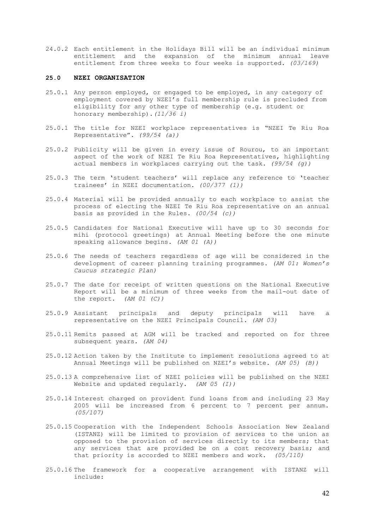24.0.2 Each entitlement in the Holidays Bill will be an individual minimum entitlement and the expansion of the minimum annual leave entitlement from three weeks to four weeks is supported. *(03/169)*

## **25.0 NZEI ORGANISATION**

- 25.0.1 Any person employed, or engaged to be employed, in any category of employment covered by NZEI's full membership rule is precluded from eligibility for any other type of membership (e.g. student or honorary membership).*(11/36 i)*
- 25.0.1 The title for NZEI workplace representatives is "NZEI Te Riu Roa Representative". *(99/54 (a))*
- 25.0.2 Publicity will be given in every issue of Rourou, to an important aspect of the work of NZEI Te Riu Roa Representatives, highlighting actual members in workplaces carrying out the task. *(99/54 (g))*
- 25.0.3 The term 'student teachers' will replace any reference to 'teacher trainees' in NZEI documentation. *(00/377 (1))*
- 25.0.4 Material will be provided annually to each workplace to assist the process of electing the NZEI Te Riu Roa representative on an annual basis as provided in the Rules. *(00/54 (c))*
- 25.0.5 Candidates for National Executive will have up to 30 seconds for mihi (protocol greetings) at Annual Meeting before the one minute speaking allowance begins. *(AM 01 (A))*
- 25.0.6 The needs of teachers regardless of age will be considered in the development of career planning training programmes. *(AM 01: Women's Caucus strategic Plan)*
- 25.0.7 The date for receipt of written questions on the National Executive Report will be a minimum of three weeks from the mail-out date of the report. *(AM 01 (C))*
- 25.0.9 Assistant principals and deputy principals will have a representative on the NZEI Principals Council. *(AM 03)*
- 25.0.11 Remits passed at AGM will be tracked and reported on for three subsequent years. *(AM 04)*
- 25.0.12 Action taken by the Institute to implement resolutions agreed to at Annual Meetings will be published on NZEI's website. *(AM 05) (B))*
- 25.0.13 A comprehensive list of NZEI policies will be published on the NZEI Website and updated regularly. *(AM 05 (I))*
- 25.0.14 Interest charged on provident fund loans from and including 23 May 2005 will be increased from 6 percent to 7 percent per annum. *(05/107)*
- 25.0.15 Cooperation with the Independent Schools Association New Zealand (ISTANZ) will be limited to provision of services to the union as opposed to the provision of services directly to its members; that any services that are provided be on a cost recovery basis; and that priority is accorded to NZEI members and work. *(05/110)*
- 25.0.16 The framework for a cooperative arrangement with ISTANZ will include: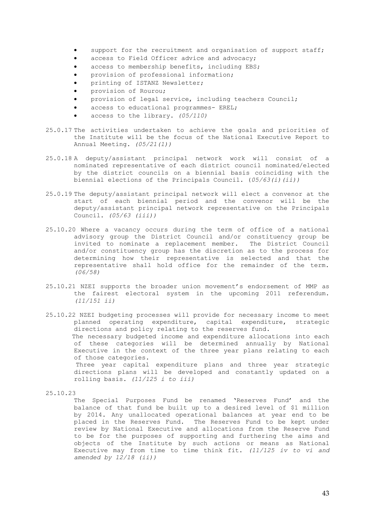- support for the recruitment and organisation of support staff;
- access to Field Officer advice and advocacy;
- access to membership benefits, including EBS;
- provision of professional information;
- printing of ISTANZ Newsletter;
- provision of Rourou;
- provision of legal service, including teachers Council;
- access to educational programmes- EREL;
- access to the library. *(05/110)*
- 25.0.17 The activities undertaken to achieve the goals and priorities of the Institute will be the focus of the National Executive Report to Annual Meeting. *(05/21(1))*
- 25.0.18 A deputy/assistant principal network work will consist of a nominated representative of each district council nominated/elected by the district councils on a biennial basis coinciding with the biennial elections of the Principals Council. (*05/63(i)(ii))*
- 25.0.19 The deputy/assistant principal network will elect a convenor at the start of each biennial period and the convenor will be the deputy/assistant principal network representative on the Principals Council. *(05/63 (iii))*
- 25.10.20 Where a vacancy occurs during the term of office of a national advisory group the District Council and/or constituency group be invited to nominate a replacement member. The District Council and/or constituency group has the discretion as to the process for determining how their representative is selected and that the representative shall hold office for the remainder of the term. *(06/58)*
- 25.10.21 NZEI supports the broader union movement's endorsement of MMP as the fairest electoral system in the upcoming 2011 referendum. *(11/151 ii)*
- 25.10.22 NZEI budgeting processes will provide for necessary income to meet planned operating expenditure, capital expenditure, strategic directions and policy relating to the reserves fund. The necessary budgeted income and expenditure allocations into each of these categories will be determined annually by National Executive in the context of the three year plans relating to each of those categories. Three year capital expenditure plans and three year strategic directions plans will be developed and constantly updated on a rolling basis. *(11/125 i to iii)*

The Special Purposes Fund be renamed 'Reserves Fund' and the balance of that fund be built up to a desired level of \$1 million by 2014. Any unallocated operational balances at year end to be placed in the Reserves Fund. The Reserves Fund to be kept under review by National Executive and allocations from the Reserve Fund to be for the purposes of supporting and furthering the aims and objects of the Institute by such actions or means as National Executive may from time to time think fit. *(11/125 iv to vi and amended by 12/18 (ii))* 

<sup>25.10.23</sup>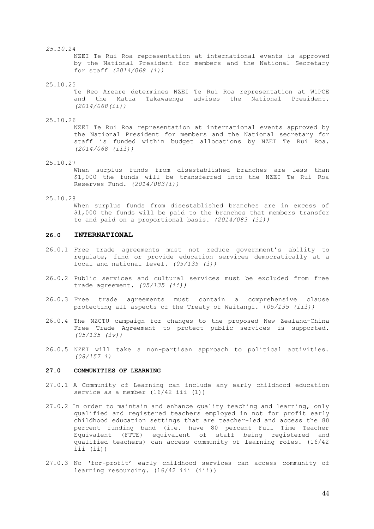#### *25.10.*24

NZEI Te Rui Roa representation at international events is approved by the National President for members and the National Secretary for staff *(2014/068 (i))*

25.10.25

Te Reo Areare determines NZEI Te Rui Roa representation at WiPCE and the Matua Takawaenga advises the National President. *(2014/068(ii))*

25.10.26

NZEI Te Rui Roa representation at international events approved by the National President for members and the National secretary for staff is funded within budget allocations by NZEI Te Rui Roa. *(2014/068 (iii))*

25.10.27

When surplus funds from disestablished branches are less than \$1,000 the funds will be transferred into the NZEI Te Rui Roa Reserves Fund. *(2014/083(i))*

#### 25.10.28

When surplus funds from disestablished branches are in excess of \$1,000 the funds will be paid to the branches that members transfer to and paid on a proportional basis. *(2014/083 (ii))*

## **26.0 INTERNATIONAL**

- 26.0.1 Free trade agreements must not reduce government's ability to regulate, fund or provide education services democratically at a local and national level. *(05/135 (i))*
- 26.0.2 Public services and cultural services must be excluded from free trade agreement. *(05/135 (ii))*
- 26.0.3 Free trade agreements must contain a comprehensive clause protecting all aspects of the Treaty of Waitangi. (*05/135 (iii))*
- 26.0.4 The NZCTU campaign for changes to the proposed New Zealand-China Free Trade Agreement to protect public services is supported. *(05/135 (iv))*
- 26.0.5 NZEI will take a non-partisan approach to political activities. *(08/157 i)*

#### **27.0 COMMUNITIES OF LEARNING**

- 27.0.1 A Community of Learning can include any early childhood education service as a member  $(16/42$  iii  $(1))$
- 27.0.2 In order to maintain and enhance quality teaching and learning, only qualified and registered teachers employed in not for profit early childhood education settings that are teacher-led and access the 80 percent funding band (i.e. have 80 percent Full Time Teacher Equivalent (FTTE) equivalent of staff being registered and qualified teachers) can access community of learning roles. (16/42 iii (ii))
- 27.0.3 No 'for-profit' early childhood services can access community of learning resourcing. (16/42 iii (iii))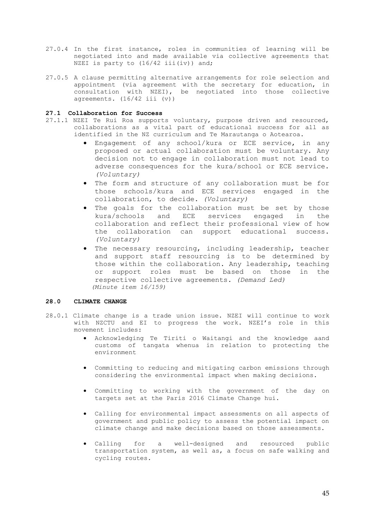- 27.0.4 In the first instance, roles in communities of learning will be negotiated into and made available via collective agreements that NZEI is party to  $(16/42$  iii(iv)) and;
- 27.0.5 A clause permitting alternative arrangements for role selection and appointment (via agreement with the secretary for education, in consultation with NZEI), be negotiated into those collective agreements. (16/42 iii (v))

## **27.1 Collaboration for Success**

- 27.1.1 NZEI Te Rui Roa supports voluntary, purpose driven and resourced, collaborations as a vital part of educational success for all as identified in the NZ curriculum and Te Marautanga o Aotearoa.
	- Engagement of any school/kura or ECE service, in any proposed or actual collaboration must be voluntary. Any decision not to engage in collaboration must not lead to adverse consequences for the kura/school or ECE service. *(Voluntary)*
	- The form and structure of any collaboration must be for those schools/kura and ECE services engaged in the collaboration, to decide. *(Voluntary)*
	- The goals for the collaboration must be set by those kura/schools and ECE services engaged in the collaboration and reflect their professional view of how the collaboration can support educational success. *(Voluntary)*
	- The necessary resourcing, including leadership, teacher and support staff resourcing is to be determined by those within the collaboration. Any leadership, teaching or support roles must be based on those in the respective collective agreements. *(Demand Led) (Minute item 16/159)*

## **28.0 CLIMATE CHANGE**

- 28.0.1 Climate change is a trade union issue. NZEI will continue to work with NZCTU and EI to progress the work. NZEI's role in this movement includes:
	- Acknowledging Te Tiriti o Waitangi and the knowledge aand customs of tangata whenua in relation to protecting the environment
	- Committing to reducing and mitigating carbon emissions through considering the environmental impact when making decisions.
	- Committing to working with the government of the day on targets set at the Paris 2016 Climate Change hui.
	- Calling for environmental impact assessments on all aspects of government and public policy to assess the potential impact on climate change and make decisions based on those assessments.
	- Calling for a well-designed and resourced public transportation system, as well as, a focus on safe walking and cycling routes.